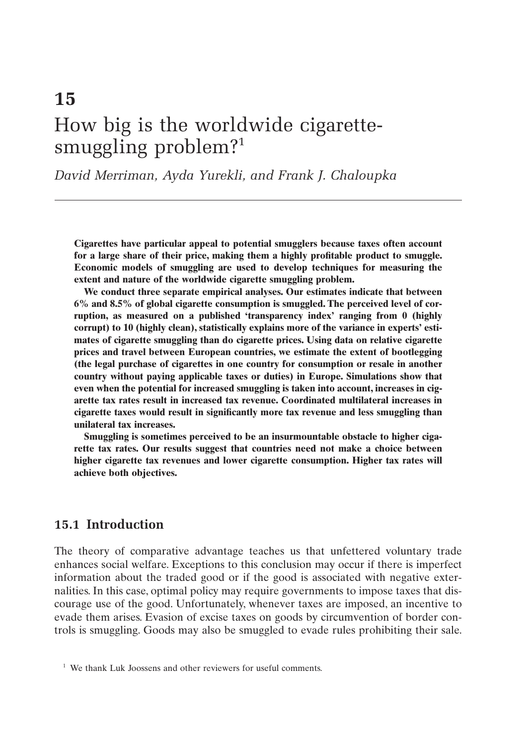# **15** How big is the worldwide cigarettesmuggling problem?<sup>1</sup>

*David Merriman, Ayda Yurekli, and Frank J. Chaloupka*

**Cigarettes have particular appeal to potential smugglers because taxes often account for a large share of their price, making them a highly profitable product to smuggle. Economic models of smuggling are used to develop techniques for measuring the extent and nature of the worldwide cigarette smuggling problem.**

**We conduct three separate empirical analyses. Our estimates indicate that between 6% and 8.5% of global cigarette consumption is smuggled. The perceived level of corruption, as measured on a published 'transparency index' ranging from 0 (highly corrupt) to 10 (highly clean), statistically explains more of the variance in experts' estimates of cigarette smuggling than do cigarette prices. Using data on relative cigarette prices and travel between European countries, we estimate the extent of bootlegging (the legal purchase of cigarettes in one country for consumption or resale in another country without paying applicable taxes or duties) in Europe. Simulations show that even when the potential for increased smuggling is taken into account, increases in cigarette tax rates result in increased tax revenue. Coordinated multilateral increases in cigarette taxes would result in significantly more tax revenue and less smuggling than unilateral tax increases.**

**Smuggling is sometimes perceived to be an insurmountable obstacle to higher cigarette tax rates. Our results suggest that countries need not make a choice between higher cigarette tax revenues and lower cigarette consumption. Higher tax rates will achieve both objectives.**

## **15.1 Introduction**

The theory of comparative advantage teaches us that unfettered voluntary trade enhances social welfare. Exceptions to this conclusion may occur if there is imperfect information about the traded good or if the good is associated with negative externalities. In this case, optimal policy may require governments to impose taxes that discourage use of the good. Unfortunately, whenever taxes are imposed, an incentive to evade them arises. Evasion of excise taxes on goods by circumvention of border controls is smuggling. Goods may also be smuggled to evade rules prohibiting their sale.

<sup>&</sup>lt;sup>1</sup> We thank Luk Joossens and other reviewers for useful comments.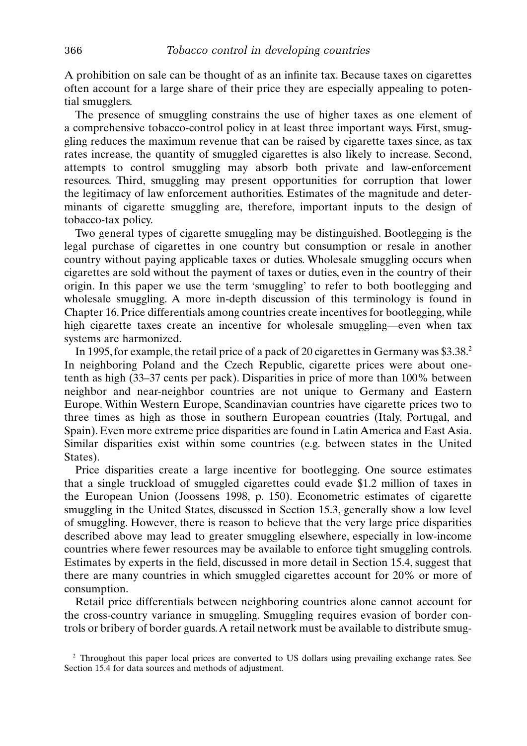A prohibition on sale can be thought of as an infinite tax. Because taxes on cigarettes often account for a large share of their price they are especially appealing to potential smugglers.

The presence of smuggling constrains the use of higher taxes as one element of a comprehensive tobacco-control policy in at least three important ways. First, smuggling reduces the maximum revenue that can be raised by cigarette taxes since, as tax rates increase, the quantity of smuggled cigarettes is also likely to increase. Second, attempts to control smuggling may absorb both private and law-enforcement resources. Third, smuggling may present opportunities for corruption that lower the legitimacy of law enforcement authorities. Estimates of the magnitude and determinants of cigarette smuggling are, therefore, important inputs to the design of tobacco-tax policy.

Two general types of cigarette smuggling may be distinguished. Bootlegging is the legal purchase of cigarettes in one country but consumption or resale in another country without paying applicable taxes or duties. Wholesale smuggling occurs when cigarettes are sold without the payment of taxes or duties, even in the country of their origin. In this paper we use the term 'smuggling' to refer to both bootlegging and wholesale smuggling. A more in-depth discussion of this terminology is found in Chapter 16. Price differentials among countries create incentives for bootlegging, while high cigarette taxes create an incentive for wholesale smuggling—even when tax systems are harmonized.

In 1995, for example, the retail price of a pack of 20 cigarettes in Germany was \$3.38.<sup>2</sup> In neighboring Poland and the Czech Republic, cigarette prices were about onetenth as high (33–37 cents per pack). Disparities in price of more than 100% between neighbor and near-neighbor countries are not unique to Germany and Eastern Europe. Within Western Europe, Scandinavian countries have cigarette prices two to three times as high as those in southern European countries (Italy, Portugal, and Spain). Even more extreme price disparities are found in Latin America and East Asia. Similar disparities exist within some countries (e.g. between states in the United States).

Price disparities create a large incentive for bootlegging. One source estimates that a single truckload of smuggled cigarettes could evade \$1.2 million of taxes in the European Union (Joossens 1998, p. 150). Econometric estimates of cigarette smuggling in the United States, discussed in Section 15.3, generally show a low level of smuggling. However, there is reason to believe that the very large price disparities described above may lead to greater smuggling elsewhere, especially in low-income countries where fewer resources may be available to enforce tight smuggling controls. Estimates by experts in the field, discussed in more detail in Section 15.4, suggest that there are many countries in which smuggled cigarettes account for 20% or more of consumption.

Retail price differentials between neighboring countries alone cannot account for the cross-country variance in smuggling. Smuggling requires evasion of border controls or bribery of border guards.A retail network must be available to distribute smug-

<sup>&</sup>lt;sup>2</sup> Throughout this paper local prices are converted to US dollars using prevailing exchange rates. See Section 15.4 for data sources and methods of adjustment.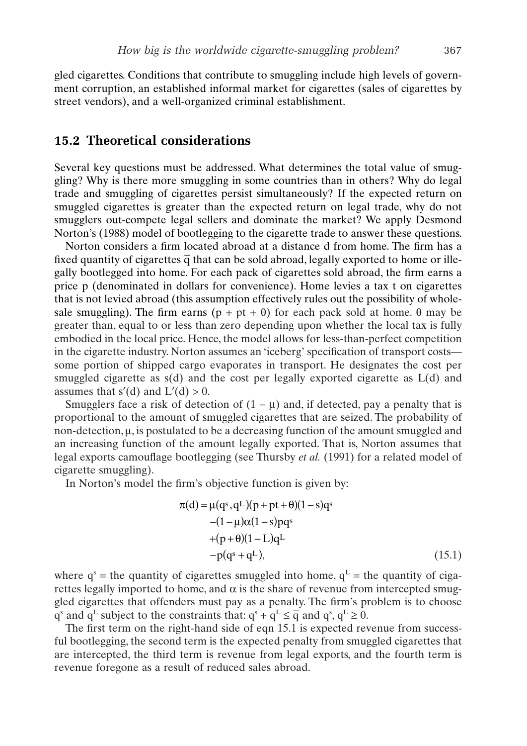gled cigarettes. Conditions that contribute to smuggling include high levels of government corruption, an established informal market for cigarettes (sales of cigarettes by street vendors), and a well-organized criminal establishment.

#### **15.2 Theoretical considerations**

Several key questions must be addressed. What determines the total value of smuggling? Why is there more smuggling in some countries than in others? Why do legal trade and smuggling of cigarettes persist simultaneously? If the expected return on smuggled cigarettes is greater than the expected return on legal trade, why do not smugglers out-compete legal sellers and dominate the market? We apply Desmond Norton's (1988) model of bootlegging to the cigarette trade to answer these questions.

Norton considers a firm located abroad at a distance d from home. The firm has a Frorton considers a firm focated abroad at a distance d from nome. The firm has a<br>fixed quantity of cigarettes  $\bar{q}$  that can be sold abroad, legally exported to home or illegally bootlegged into home. For each pack of cigarettes sold abroad, the firm earns a price p (denominated in dollars for convenience). Home levies a tax t on cigarettes that is not levied abroad (this assumption effectively rules out the possibility of wholesale smuggling). The firm earns  $(p + pt + \theta)$  for each pack sold at home.  $\theta$  may be greater than, equal to or less than zero depending upon whether the local tax is fully embodied in the local price. Hence, the model allows for less-than-perfect competition in the cigarette industry. Norton assumes an 'iceberg' specification of transport costs some portion of shipped cargo evaporates in transport. He designates the cost per smuggled cigarette as s(d) and the cost per legally exported cigarette as L(d) and assumes that s'(d) and  $L'(d) > 0$ .

Smugglers face a risk of detection of  $(1 - \mu)$  and, if detected, pay a penalty that is proportional to the amount of smuggled cigarettes that are seized. The probability of non-detection,  $\mu$ , is postulated to be a decreasing function of the amount smuggled and an increasing function of the amount legally exported. That is, Norton assumes that legal exports camouflage bootlegging (see Thursby *et al.* (1991) for a related model of cigarette smuggling).

In Norton's model the firm's objective function is given by:

$$
\pi(d) = \mu(q^s, q^L)(p + pt + \theta)(1 - s)q^s
$$
  
-(1 -  $\mu$ ) $\alpha$ (1 - s)pq^s  
+(p +  $\theta$ )(1 - L)q<sup>L</sup>  
-p(q<sup>s</sup> + q<sup>L</sup>), (15.1)

where  $q^s$  = the quantity of cigarettes smuggled into home,  $q^L$  = the quantity of cigarettes legally imported to home, and  $\alpha$  is the share of revenue from intercepted smuggled cigarettes that offenders must pay as a penalty. The firm's problem is to choose  $q^s$  and  $q^L$  subject to the constraints that:  $q^s + q^L \leq \overline{q}$  and  $q^s, q^L \geq 0$ .

The first term on the right-hand side of eqn 15.1 is expected revenue from successful bootlegging, the second term is the expected penalty from smuggled cigarettes that are intercepted, the third term is revenue from legal exports, and the fourth term is revenue foregone as a result of reduced sales abroad.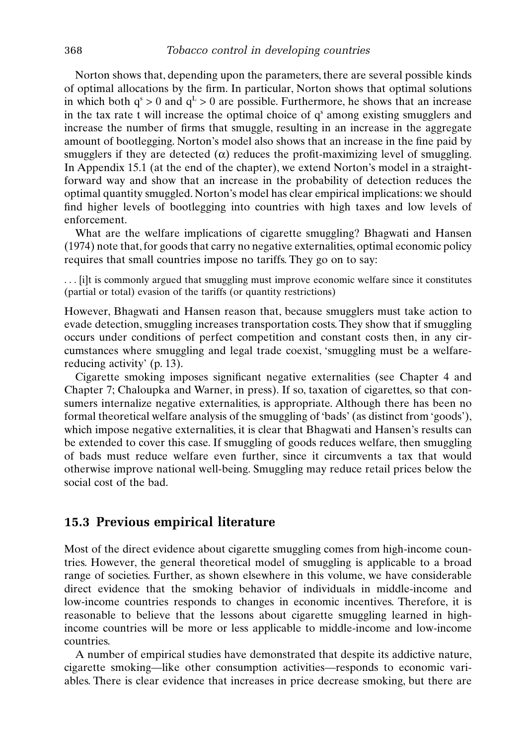Norton shows that, depending upon the parameters, there are several possible kinds of optimal allocations by the firm. In particular, Norton shows that optimal solutions in which both  $q^s > 0$  and  $q^L > 0$  are possible. Furthermore, he shows that an increase in the tax rate t will increase the optimal choice of  $q<sup>s</sup>$  among existing smugglers and increase the number of firms that smuggle, resulting in an increase in the aggregate amount of bootlegging. Norton's model also shows that an increase in the fine paid by smugglers if they are detected  $(\alpha)$  reduces the profit-maximizing level of smuggling. In Appendix 15.1 (at the end of the chapter), we extend Norton's model in a straightforward way and show that an increase in the probability of detection reduces the optimal quantity smuggled. Norton's model has clear empirical implications: we should find higher levels of bootlegging into countries with high taxes and low levels of enforcement.

What are the welfare implications of cigarette smuggling? Bhagwati and Hansen (1974) note that, for goods that carry no negative externalities, optimal economic policy requires that small countries impose no tariffs. They go on to say:

. . . [i]t is commonly argued that smuggling must improve economic welfare since it constitutes (partial or total) evasion of the tariffs (or quantity restrictions)

However, Bhagwati and Hansen reason that, because smugglers must take action to evade detection, smuggling increases transportation costs. They show that if smuggling occurs under conditions of perfect competition and constant costs then, in any circumstances where smuggling and legal trade coexist, 'smuggling must be a welfarereducing activity' (p. 13).

Cigarette smoking imposes significant negative externalities (see Chapter 4 and Chapter 7; Chaloupka and Warner, in press). If so, taxation of cigarettes, so that consumers internalize negative externalities, is appropriate. Although there has been no formal theoretical welfare analysis of the smuggling of 'bads' (as distinct from 'goods'), which impose negative externalities, it is clear that Bhagwati and Hansen's results can be extended to cover this case. If smuggling of goods reduces welfare, then smuggling of bads must reduce welfare even further, since it circumvents a tax that would otherwise improve national well-being. Smuggling may reduce retail prices below the social cost of the bad.

# **15.3 Previous empirical literature**

Most of the direct evidence about cigarette smuggling comes from high-income countries. However, the general theoretical model of smuggling is applicable to a broad range of societies. Further, as shown elsewhere in this volume, we have considerable direct evidence that the smoking behavior of individuals in middle-income and low-income countries responds to changes in economic incentives. Therefore, it is reasonable to believe that the lessons about cigarette smuggling learned in highincome countries will be more or less applicable to middle-income and low-income countries.

A number of empirical studies have demonstrated that despite its addictive nature, cigarette smoking—like other consumption activities—responds to economic variables. There is clear evidence that increases in price decrease smoking, but there are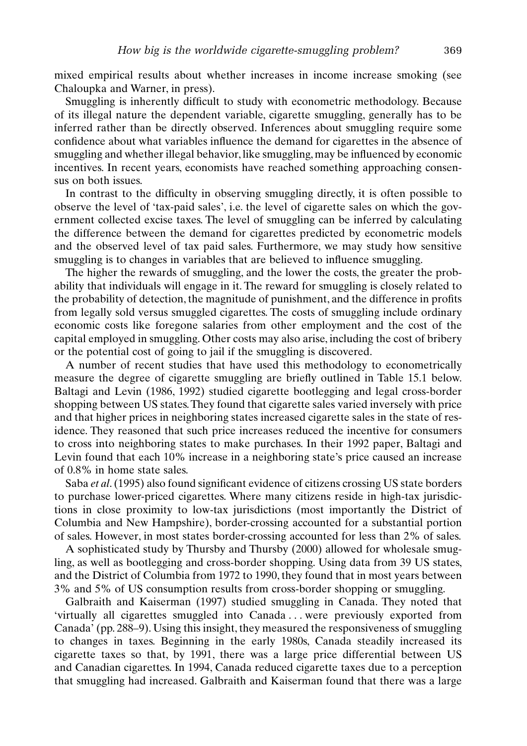mixed empirical results about whether increases in income increase smoking (see Chaloupka and Warner, in press).

Smuggling is inherently difficult to study with econometric methodology. Because of its illegal nature the dependent variable, cigarette smuggling, generally has to be inferred rather than be directly observed. Inferences about smuggling require some confidence about what variables influence the demand for cigarettes in the absence of smuggling and whether illegal behavior, like smuggling, may be influenced by economic incentives. In recent years, economists have reached something approaching consensus on both issues.

In contrast to the difficulty in observing smuggling directly, it is often possible to observe the level of 'tax-paid sales', i.e. the level of cigarette sales on which the government collected excise taxes. The level of smuggling can be inferred by calculating the difference between the demand for cigarettes predicted by econometric models and the observed level of tax paid sales. Furthermore, we may study how sensitive smuggling is to changes in variables that are believed to influence smuggling.

The higher the rewards of smuggling, and the lower the costs, the greater the probability that individuals will engage in it. The reward for smuggling is closely related to the probability of detection, the magnitude of punishment, and the difference in profits from legally sold versus smuggled cigarettes. The costs of smuggling include ordinary economic costs like foregone salaries from other employment and the cost of the capital employed in smuggling. Other costs may also arise, including the cost of bribery or the potential cost of going to jail if the smuggling is discovered.

A number of recent studies that have used this methodology to econometrically measure the degree of cigarette smuggling are briefly outlined in Table 15.1 below. Baltagi and Levin (1986, 1992) studied cigarette bootlegging and legal cross-border shopping between US states.They found that cigarette sales varied inversely with price and that higher prices in neighboring states increased cigarette sales in the state of residence. They reasoned that such price increases reduced the incentive for consumers to cross into neighboring states to make purchases. In their 1992 paper, Baltagi and Levin found that each 10% increase in a neighboring state's price caused an increase of 0.8% in home state sales.

Saba *et al*. (1995) also found significant evidence of citizens crossing US state borders to purchase lower-priced cigarettes. Where many citizens reside in high-tax jurisdictions in close proximity to low-tax jurisdictions (most importantly the District of Columbia and New Hampshire), border-crossing accounted for a substantial portion of sales. However, in most states border-crossing accounted for less than 2% of sales.

A sophisticated study by Thursby and Thursby (2000) allowed for wholesale smugling, as well as bootlegging and cross-border shopping. Using data from 39 US states, and the District of Columbia from 1972 to 1990, they found that in most years between 3% and 5% of US consumption results from cross-border shopping or smuggling.

Galbraith and Kaiserman (1997) studied smuggling in Canada. They noted that 'virtually all cigarettes smuggled into Canada . . . were previously exported from Canada' (pp. 288–9). Using this insight, they measured the responsiveness of smuggling to changes in taxes. Beginning in the early 1980s, Canada steadily increased its cigarette taxes so that, by 1991, there was a large price differential between US and Canadian cigarettes. In 1994, Canada reduced cigarette taxes due to a perception that smuggling had increased. Galbraith and Kaiserman found that there was a large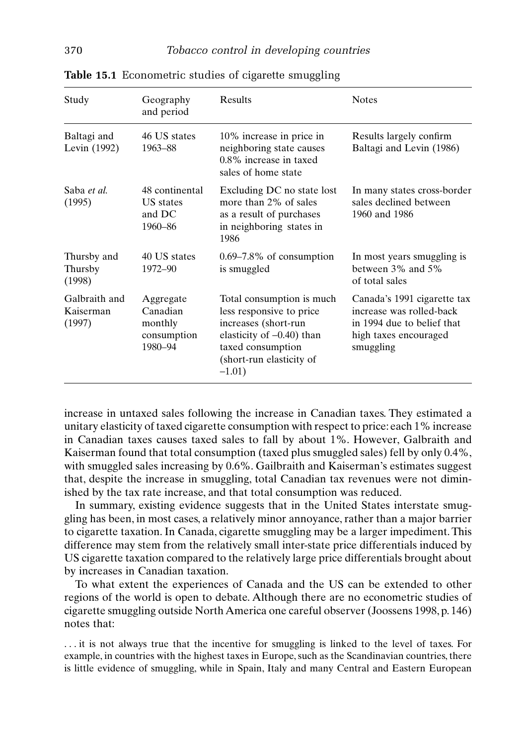| Study                                | Geography<br>and period                                    | Results                                                                                                                                                                    | <b>Notes</b>                                                                                                                |
|--------------------------------------|------------------------------------------------------------|----------------------------------------------------------------------------------------------------------------------------------------------------------------------------|-----------------------------------------------------------------------------------------------------------------------------|
| Baltagi and<br>Levin (1992)          | 46 US states<br>1963-88                                    | 10% increase in price in<br>neighboring state causes<br>$0.8\%$ increase in taxed<br>sales of home state                                                                   | Results largely confirm<br>Baltagi and Levin (1986)                                                                         |
| Saba <i>et al.</i><br>(1995)         | 48 continental<br><b>US</b> states<br>and DC<br>1960-86    | Excluding DC no state lost<br>more than 2% of sales<br>as a result of purchases<br>in neighboring states in<br>1986                                                        | In many states cross-border<br>sales declined between<br>1960 and 1986                                                      |
| Thursby and<br>Thursby<br>(1998)     | 40 US states<br>1972-90                                    | $0.69 - 7.8\%$ of consumption<br>is smuggled                                                                                                                               | In most years smuggling is<br>between $3\%$ and $5\%$<br>of total sales                                                     |
| Galbraith and<br>Kaiserman<br>(1997) | Aggregate<br>Canadian<br>monthly<br>consumption<br>1980-94 | Total consumption is much<br>less responsive to price<br>increases (short-run<br>elasticity of $-0.40$ ) than<br>taxed consumption<br>(short-run elasticity of<br>$-1.01)$ | Canada's 1991 cigarette tax<br>increase was rolled-back<br>in 1994 due to belief that<br>high taxes encouraged<br>smuggling |

**Table 15.1** Econometric studies of cigarette smuggling

increase in untaxed sales following the increase in Canadian taxes. They estimated a unitary elasticity of taxed cigarette consumption with respect to price: each 1% increase in Canadian taxes causes taxed sales to fall by about 1%. However, Galbraith and Kaiserman found that total consumption (taxed plus smuggled sales) fell by only 0.4%, with smuggled sales increasing by 0.6%. Gailbraith and Kaiserman's estimates suggest that, despite the increase in smuggling, total Canadian tax revenues were not diminished by the tax rate increase, and that total consumption was reduced.

In summary, existing evidence suggests that in the United States interstate smuggling has been, in most cases, a relatively minor annoyance, rather than a major barrier to cigarette taxation. In Canada, cigarette smuggling may be a larger impediment. This difference may stem from the relatively small inter-state price differentials induced by US cigarette taxation compared to the relatively large price differentials brought about by increases in Canadian taxation.

To what extent the experiences of Canada and the US can be extended to other regions of the world is open to debate. Although there are no econometric studies of cigarette smuggling outside North America one careful observer (Joossens 1998, p. 146) notes that:

. . . it is not always true that the incentive for smuggling is linked to the level of taxes. For example, in countries with the highest taxes in Europe, such as the Scandinavian countries, there is little evidence of smuggling, while in Spain, Italy and many Central and Eastern European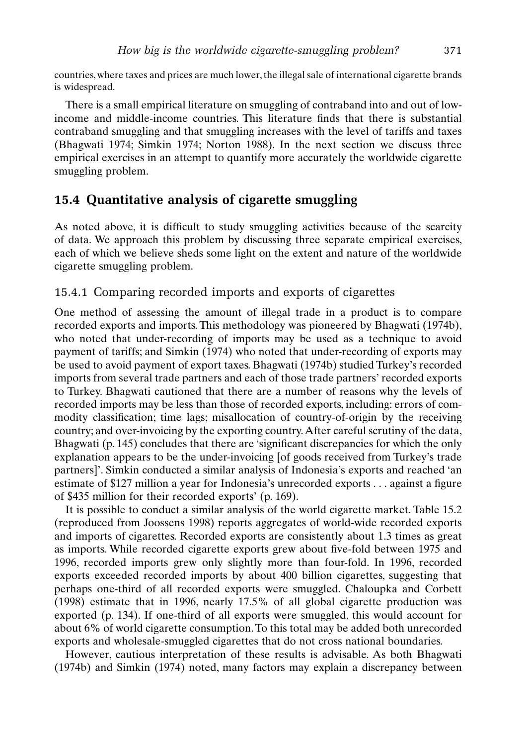countries, where taxes and prices are much lower, the illegal sale of international cigarette brands is widespread.

There is a small empirical literature on smuggling of contraband into and out of lowincome and middle-income countries. This literature finds that there is substantial contraband smuggling and that smuggling increases with the level of tariffs and taxes (Bhagwati 1974; Simkin 1974; Norton 1988). In the next section we discuss three empirical exercises in an attempt to quantify more accurately the worldwide cigarette smuggling problem.

# **15.4 Quantitative analysis of cigarette smuggling**

As noted above, it is difficult to study smuggling activities because of the scarcity of data. We approach this problem by discussing three separate empirical exercises, each of which we believe sheds some light on the extent and nature of the worldwide cigarette smuggling problem.

#### 15.4.1 Comparing recorded imports and exports of cigarettes

One method of assessing the amount of illegal trade in a product is to compare recorded exports and imports. This methodology was pioneered by Bhagwati (1974b), who noted that under-recording of imports may be used as a technique to avoid payment of tariffs; and Simkin (1974) who noted that under-recording of exports may be used to avoid payment of export taxes. Bhagwati (1974b) studied Turkey's recorded imports from several trade partners and each of those trade partners' recorded exports to Turkey. Bhagwati cautioned that there are a number of reasons why the levels of recorded imports may be less than those of recorded exports, including: errors of commodity classification; time lags; misallocation of country-of-origin by the receiving country; and over-invoicing by the exporting country.After careful scrutiny of the data, Bhagwati (p. 145) concludes that there are 'significant discrepancies for which the only explanation appears to be the under-invoicing [of goods received from Turkey's trade partners]'. Simkin conducted a similar analysis of Indonesia's exports and reached 'an estimate of \$127 million a year for Indonesia's unrecorded exports . . . against a figure of \$435 million for their recorded exports' (p. 169).

It is possible to conduct a similar analysis of the world cigarette market. Table 15.2 (reproduced from Joossens 1998) reports aggregates of world-wide recorded exports and imports of cigarettes. Recorded exports are consistently about 1.3 times as great as imports. While recorded cigarette exports grew about five-fold between 1975 and 1996, recorded imports grew only slightly more than four-fold. In 1996, recorded exports exceeded recorded imports by about 400 billion cigarettes, suggesting that perhaps one-third of all recorded exports were smuggled. Chaloupka and Corbett (1998) estimate that in 1996, nearly 17.5% of all global cigarette production was exported (p. 134). If one-third of all exports were smuggled, this would account for about 6% of world cigarette consumption. To this total may be added both unrecorded exports and wholesale-smuggled cigarettes that do not cross national boundaries.

However, cautious interpretation of these results is advisable. As both Bhagwati (1974b) and Simkin (1974) noted, many factors may explain a discrepancy between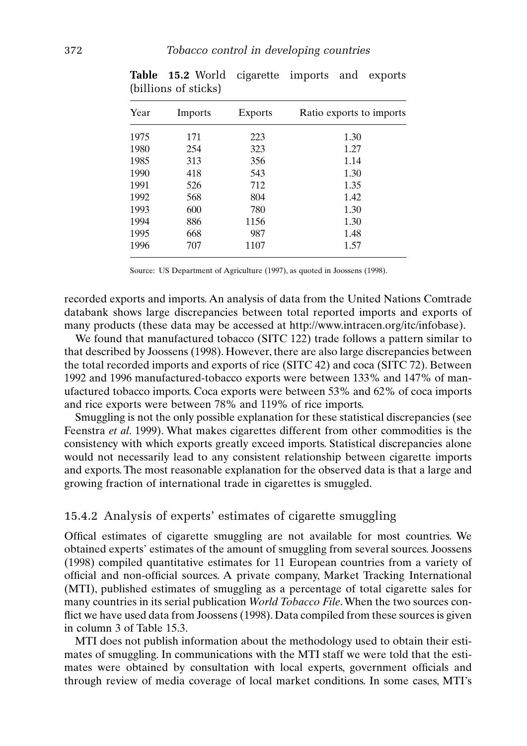| Year | Imports | <b>Exports</b> | Ratio exports to imports |
|------|---------|----------------|--------------------------|
| 1975 | 171     | 223            | 1.30                     |
| 1980 | 254     | 323            | 1.27                     |
| 1985 | 313     | 356            | 1.14                     |
| 1990 | 418     | 543            | 1.30                     |
| 1991 | 526     | 712            | 1.35                     |
| 1992 | 568     | 804            | 1.42                     |
| 1993 | 600     | 780            | 1.30                     |
| 1994 | 886     | 1156           | 1.30                     |
| 1995 | 668     | 987            | 1.48                     |
| 1996 | 707     | 1107           | 1.57                     |

**Table 15.2** World cigarette imports and exports (billions of sticks)

Source: US Department of Agriculture (1997), as quoted in Joossens (1998).

recorded exports and imports. An analysis of data from the United Nations Comtrade databank shows large discrepancies between total reported imports and exports of many products (these data may be accessed at http://www.intracen.org/itc/infobase).

We found that manufactured tobacco (SITC 122) trade follows a pattern similar to that described by Joossens (1998). However, there are also large discrepancies between the total recorded imports and exports of rice (SITC 42) and coca (SITC 72). Between 1992 and 1996 manufactured-tobacco exports were between 133% and 147% of manufactured tobacco imports. Coca exports were between 53% and 62% of coca imports and rice exports were between 78% and 119% of rice imports.

Smuggling is not the only possible explanation for these statistical discrepancies (see Feenstra *et al*. 1999). What makes cigarettes different from other commodities is the consistency with which exports greatly exceed imports. Statistical discrepancies alone would not necessarily lead to any consistent relationship between cigarette imports and exports. The most reasonable explanation for the observed data is that a large and growing fraction of international trade in cigarettes is smuggled.

### 15.4.2 Analysis of experts' estimates of cigarette smuggling

Offical estimates of cigarette smuggling are not available for most countries. We obtained experts' estimates of the amount of smuggling from several sources. Joossens (1998) compiled quantitative estimates for 11 European countries from a variety of official and non-official sources. A private company, Market Tracking International (MTI), published estimates of smuggling as a percentage of total cigarette sales for many countries in its serial publication *World Tobacco File*. When the two sources conflict we have used data from Joossens (1998). Data compiled from these sources is given in column 3 of Table 15.3.

MTI does not publish information about the methodology used to obtain their estimates of smuggling. In communications with the MTI staff we were told that the estimates were obtained by consultation with local experts, government officials and through review of media coverage of local market conditions. In some cases, MTI's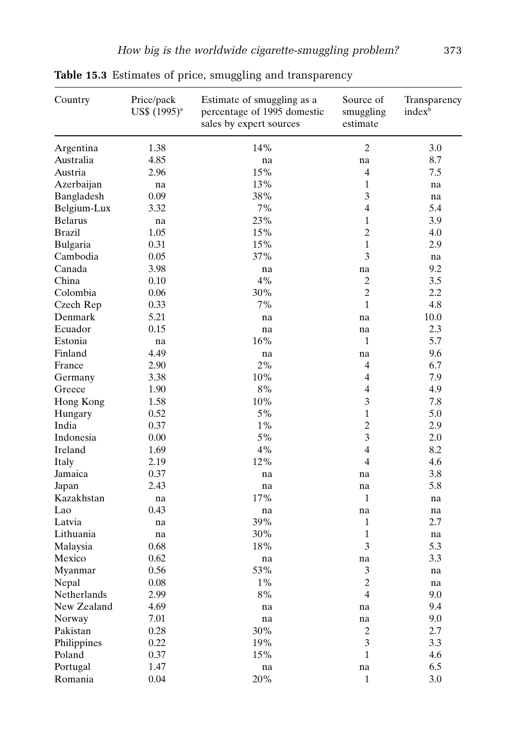| Country        | Price/pack<br>$US\$ (1995) <sup>a</sup> | Estimate of smuggling as a<br>percentage of 1995 domestic<br>sales by expert sources | Source of<br>smuggling<br>estimate | Transparency<br>index <sup>b</sup> |
|----------------|-----------------------------------------|--------------------------------------------------------------------------------------|------------------------------------|------------------------------------|
| Argentina      | 1.38                                    | 14%                                                                                  | $\overline{2}$                     | 3.0                                |
| Australia      | 4.85                                    | na                                                                                   | na                                 | 8.7                                |
| Austria        | 2.96                                    | 15%                                                                                  | $\overline{\mathcal{A}}$           | 7.5                                |
| Azerbaijan     | na                                      | 13%                                                                                  | $\mathbf{1}$                       | na                                 |
| Bangladesh     | 0.09                                    | 38%                                                                                  | 3                                  | na                                 |
| Belgium-Lux    | 3.32                                    | 7%                                                                                   | $\overline{4}$                     | 5.4                                |
| <b>Belarus</b> | na                                      | 23%                                                                                  | $\mathbf 1$                        | 3.9                                |
| <b>Brazil</b>  | 1.05                                    | 15%                                                                                  | $\overline{2}$                     | 4.0                                |
| Bulgaria       | 0.31                                    | 15%                                                                                  | $\mathbf{1}$                       | 2.9                                |
| Cambodia       | 0.05                                    | 37%                                                                                  | $\overline{3}$                     | na                                 |
| Canada         | 3.98                                    | na                                                                                   | na                                 | 9.2                                |
| China          | 0.10                                    | 4%                                                                                   | $\overline{c}$                     | 3.5                                |
| Colombia       | 0.06                                    | 30%                                                                                  | $\overline{c}$                     | 2.2                                |
| Czech Rep      | 0.33                                    | 7%                                                                                   | $\mathbf{1}$                       | 4.8                                |
| Denmark        | 5.21                                    | na                                                                                   | na                                 | 10.0                               |
| Ecuador        | 0.15                                    | na                                                                                   | na                                 | 2.3                                |
| Estonia        | na                                      | 16%                                                                                  | $\mathbf{1}$                       | 5.7                                |
| Finland        | 4.49                                    | na                                                                                   |                                    | 9.6                                |
| France         | 2.90                                    | 2%                                                                                   | na<br>$\overline{\mathcal{A}}$     | 6.7                                |
|                | 3.38                                    | 10%                                                                                  | $\overline{\mathcal{A}}$           | 7.9                                |
| Germany        | 1.90                                    | $8\%$                                                                                | $\overline{\mathcal{A}}$           | 4.9                                |
| Greece         |                                         | 10%                                                                                  | 3                                  | 7.8                                |
| Hong Kong      | 1.58                                    | 5%                                                                                   |                                    |                                    |
| Hungary        | 0.52                                    |                                                                                      | $\mathbf{1}$                       | 5.0                                |
| India          | 0.37                                    | $1\%$                                                                                | $\overline{c}$                     | 2.9                                |
| Indonesia      | 0.00                                    | 5%                                                                                   | $\overline{\mathbf{3}}$            | 2.0                                |
| Ireland        | 1.69                                    | 4%                                                                                   | $\overline{\mathcal{A}}$           | 8.2                                |
| Italy          | 2.19                                    | 12%                                                                                  | 4                                  | 4.6                                |
| Jamaica        | 0.37                                    | na                                                                                   | na                                 | 3.8                                |
| Japan          | 2.43                                    | na                                                                                   | na                                 | 5.8                                |
| Kazakhstan     | na                                      | 17%                                                                                  | $\mathbf{1}$                       | na                                 |
| Lao            | 0.43                                    | na                                                                                   | na                                 | na                                 |
| Latvia         | na                                      | 39%                                                                                  | $\mathbf{1}$                       | 2.7                                |
| Lithuania      | na                                      | 30%                                                                                  | 1                                  | na                                 |
| Malaysia       | 0.68                                    | 18%                                                                                  | 3                                  | 5.3                                |
| Mexico         | 0.62                                    | na                                                                                   | na                                 | 3.3                                |
| Myanmar        | 0.56                                    | 53%                                                                                  | $\mathfrak{Z}$                     | na                                 |
| Nepal          | 0.08                                    | $1\%$                                                                                | $\overline{c}$                     | na                                 |
| Netherlands    | 2.99                                    | 8%                                                                                   | $\overline{\mathcal{A}}$           | 9.0                                |
| New Zealand    | 4.69                                    | na                                                                                   | na                                 | 9.4                                |
| Norway         | 7.01                                    | na                                                                                   | na                                 | 9.0                                |
| Pakistan       | 0.28                                    | 30%                                                                                  | $\overline{2}$                     | 2.7                                |
| Philippines    | 0.22                                    | 19%                                                                                  | 3                                  | 3.3                                |
| Poland         | 0.37                                    | 15%                                                                                  | $\mathbf{1}$                       | 4.6                                |
| Portugal       | 1.47                                    | na                                                                                   | na                                 | 6.5                                |
| Romania        | 0.04                                    | 20%                                                                                  | $\mathbf{1}$                       | 3.0                                |

**Table 15.3** Estimates of price, smuggling and transparency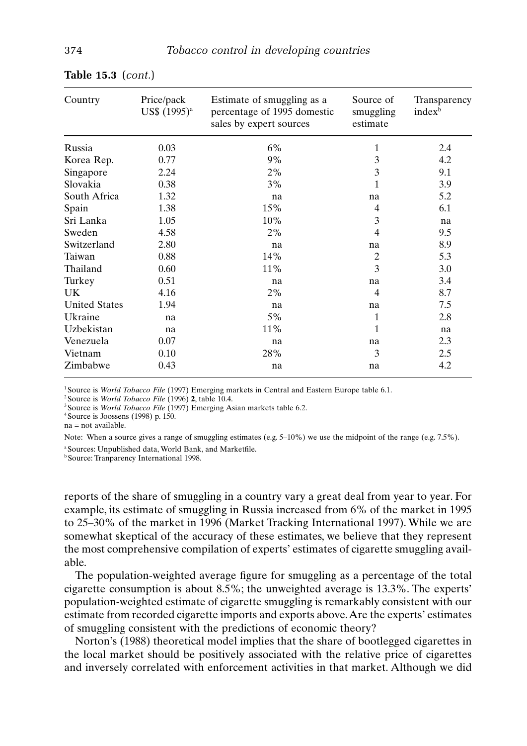| Country              | Price/pack<br>US\$ (1995) <sup>a</sup> | Estimate of smuggling as a<br>percentage of 1995 domestic<br>sales by expert sources | Source of<br>smuggling<br>estimate | Transparency<br>index <sup>b</sup> |
|----------------------|----------------------------------------|--------------------------------------------------------------------------------------|------------------------------------|------------------------------------|
| Russia               | 0.03                                   | 6%                                                                                   | $\mathbf 1$                        | 2.4                                |
| Korea Rep.           | 0.77                                   | 9%                                                                                   | 3                                  | 4.2                                |
| Singapore            | 2.24                                   | $2\%$                                                                                | 3                                  | 9.1                                |
| Slovakia             | 0.38                                   | 3%                                                                                   | 1                                  | 3.9                                |
| South Africa         | 1.32                                   | na                                                                                   | na                                 | 5.2                                |
| Spain                | 1.38                                   | 15%                                                                                  | 4                                  | 6.1                                |
| Sri Lanka            | 1.05                                   | 10%                                                                                  | 3                                  | na                                 |
| Sweden               | 4.58                                   | 2%                                                                                   | 4                                  | 9.5                                |
| Switzerland          | 2.80                                   | na                                                                                   | na                                 | 8.9                                |
| Taiwan               | 0.88                                   | 14%                                                                                  | $\overline{2}$                     | 5.3                                |
| Thailand             | 0.60                                   | 11%                                                                                  | 3                                  | 3.0                                |
| Turkey               | 0.51                                   | na                                                                                   | na                                 | 3.4                                |
| <b>UK</b>            | 4.16                                   | 2%                                                                                   | 4                                  | 8.7                                |
| <b>United States</b> | 1.94                                   | na                                                                                   | na                                 | 7.5                                |
| Ukraine              | na                                     | $5\%$                                                                                | $\mathbf{1}$                       | 2.8                                |
| Uzbekistan           | na                                     | 11%                                                                                  | 1                                  | na                                 |
| Venezuela            | 0.07                                   | na                                                                                   | na                                 | 2.3                                |
| Vietnam              | 0.10                                   | 28%                                                                                  | 3                                  | 2.5                                |
| Zimbabwe             | 0.43                                   | na                                                                                   | na                                 | 4.2                                |

**Table 15.3** (*cont.*)

<sup>1</sup> Source is *World Tobacco File* (1997) Emerging markets in Central and Eastern Europe table 6.1.

<sup>2</sup> Source is *World Tobacco File* (1996) **2** , table 10.4.

<sup>3</sup> Source is *World Tobacco File* (1997) Emerging Asian markets table 6.2.

<sup>4</sup> Source is Joossens (1998) p. 150.

na = not available.

Note: When a source gives a range of smuggling estimates (e.g. 5–10%) we use the midpoint of the range (e.g. 7.5%). <sup>a</sup> Sources: Unpublished data, World Bank, and Marketfile.

**b** Source: Tranparency International 1998.

reports of the share of smuggling in a country vary a great deal from year to year. For example, its estimate of smuggling in Russia increased from 6% of the market in 1995 to 25–30% of the market in 1996 (Market Tracking International 1997). While we are somewhat skeptical of the accuracy of these estimates, we believe that they represent the most comprehensive compilation of experts' estimates of cigarette smuggling available.

The population-weighted average figure for smuggling as a percentage of the total cigarette consumption is about 8.5%; the unweighted average is 13.3%. The experts' population-weighted estimate of cigarette smuggling is remarkably consistent with our estimate from recorded cigarette imports and exports above.Are the experts' estimates of smuggling consistent with the predictions of economic theory?

Norton's (1988) theoretical model implies that the share of bootlegged cigarettes in the local market should be positively associated with the relative price of cigarettes and inversely correlated with enforcement activities in that market. Although we did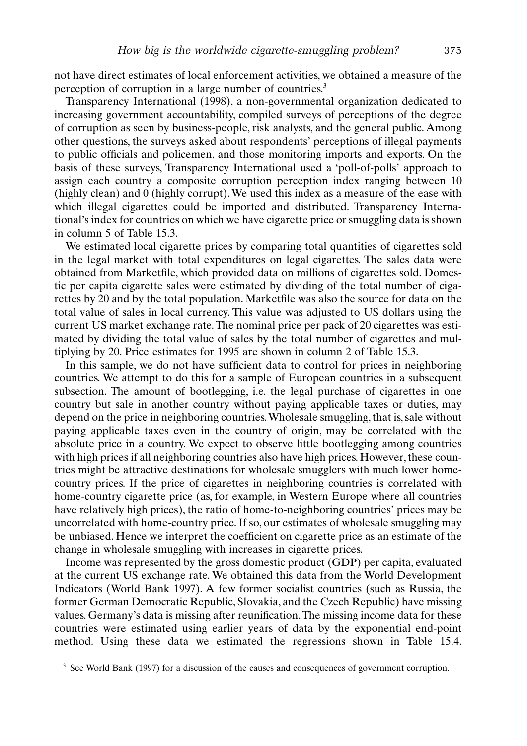not have direct estimates of local enforcement activities, we obtained a measure of the perception of corruption in a large number of countries.3

Transparency International (1998), a non-governmental organization dedicated to increasing government accountability, compiled surveys of perceptions of the degree of corruption as seen by business-people, risk analysts, and the general public. Among other questions, the surveys asked about respondents' perceptions of illegal payments to public officials and policemen, and those monitoring imports and exports. On the basis of these surveys, Transparency International used a 'poll-of-polls' approach to assign each country a composite corruption perception index ranging between 10 (highly clean) and 0 (highly corrupt). We used this index as a measure of the ease with which illegal cigarettes could be imported and distributed. Transparency International's index for countries on which we have cigarette price or smuggling data is shown in column 5 of Table 15.3.

We estimated local cigarette prices by comparing total quantities of cigarettes sold in the legal market with total expenditures on legal cigarettes. The sales data were obtained from Marketfile, which provided data on millions of cigarettes sold. Domestic per capita cigarette sales were estimated by dividing of the total number of cigarettes by 20 and by the total population. Marketfile was also the source for data on the total value of sales in local currency. This value was adjusted to US dollars using the current US market exchange rate.The nominal price per pack of 20 cigarettes was estimated by dividing the total value of sales by the total number of cigarettes and multiplying by 20. Price estimates for 1995 are shown in column 2 of Table 15.3.

In this sample, we do not have sufficient data to control for prices in neighboring countries. We attempt to do this for a sample of European countries in a subsequent subsection. The amount of bootlegging, i.e. the legal purchase of cigarettes in one country but sale in another country without paying applicable taxes or duties, may depend on the price in neighboring countries.Wholesale smuggling, that is, sale without paying applicable taxes even in the country of origin, may be correlated with the absolute price in a country. We expect to observe little bootlegging among countries with high prices if all neighboring countries also have high prices. However, these countries might be attractive destinations for wholesale smugglers with much lower homecountry prices. If the price of cigarettes in neighboring countries is correlated with home-country cigarette price (as, for example, in Western Europe where all countries have relatively high prices), the ratio of home-to-neighboring countries' prices may be uncorrelated with home-country price. If so, our estimates of wholesale smuggling may be unbiased. Hence we interpret the coefficient on cigarette price as an estimate of the change in wholesale smuggling with increases in cigarette prices.

Income was represented by the gross domestic product (GDP) per capita, evaluated at the current US exchange rate. We obtained this data from the World Development Indicators (World Bank 1997). A few former socialist countries (such as Russia, the former German Democratic Republic, Slovakia, and the Czech Republic) have missing values. Germany's data is missing after reunification.The missing income data for these countries were estimated using earlier years of data by the exponential end-point method. Using these data we estimated the regressions shown in Table 15.4.

<sup>&</sup>lt;sup>3</sup> See World Bank (1997) for a discussion of the causes and consequences of government corruption.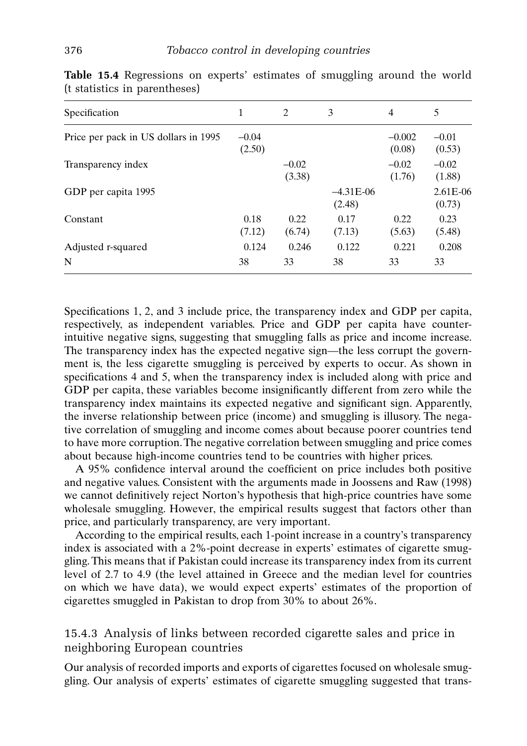| Specification                        | 1                 | $\overline{2}$    | 3                     | $\overline{4}$     | 5                    |
|--------------------------------------|-------------------|-------------------|-----------------------|--------------------|----------------------|
| Price per pack in US dollars in 1995 | $-0.04$<br>(2.50) |                   |                       | $-0.002$<br>(0.08) | $-0.01$<br>(0.53)    |
| Transparency index                   |                   | $-0.02$<br>(3.38) |                       | $-0.02$<br>(1.76)  | $-0.02$<br>(1.88)    |
| GDP per capita 1995                  |                   |                   | $-4.31E-06$<br>(2.48) |                    | $2.61E-06$<br>(0.73) |
| Constant                             | 0.18<br>(7.12)    | 0.22<br>(6.74)    | 0.17<br>(7.13)        | 0.22<br>(5.63)     | 0.23<br>(5.48)       |
| Adjusted r-squared                   | 0.124             | 0.246             | 0.122                 | 0.221              | 0.208                |
| N                                    | 38                | 33                | 38                    | 33                 | 33                   |

**Table 15.4** Regressions on experts' estimates of smuggling around the world (t statistics in parentheses)

Specifications 1, 2, and 3 include price, the transparency index and GDP per capita, respectively, as independent variables. Price and GDP per capita have counterintuitive negative signs, suggesting that smuggling falls as price and income increase. The transparency index has the expected negative sign—the less corrupt the government is, the less cigarette smuggling is perceived by experts to occur. As shown in specifications 4 and 5, when the transparency index is included along with price and GDP per capita, these variables become insignificantly different from zero while the transparency index maintains its expected negative and significant sign. Apparently, the inverse relationship between price (income) and smuggling is illusory. The negative correlation of smuggling and income comes about because poorer countries tend to have more corruption.The negative correlation between smuggling and price comes about because high-income countries tend to be countries with higher prices.

A 95% confidence interval around the coefficient on price includes both positive and negative values. Consistent with the arguments made in Joossens and Raw (1998) we cannot definitively reject Norton's hypothesis that high-price countries have some wholesale smuggling. However, the empirical results suggest that factors other than price, and particularly transparency, are very important.

According to the empirical results, each 1-point increase in a country's transparency index is associated with a 2%-point decrease in experts' estimates of cigarette smuggling. This means that if Pakistan could increase its transparency index from its current level of 2.7 to 4.9 (the level attained in Greece and the median level for countries on which we have data), we would expect experts' estimates of the proportion of cigarettes smuggled in Pakistan to drop from 30% to about 26%.

# 15.4.3 Analysis of links between recorded cigarette sales and price in neighboring European countries

Our analysis of recorded imports and exports of cigarettes focused on wholesale smuggling. Our analysis of experts' estimates of cigarette smuggling suggested that trans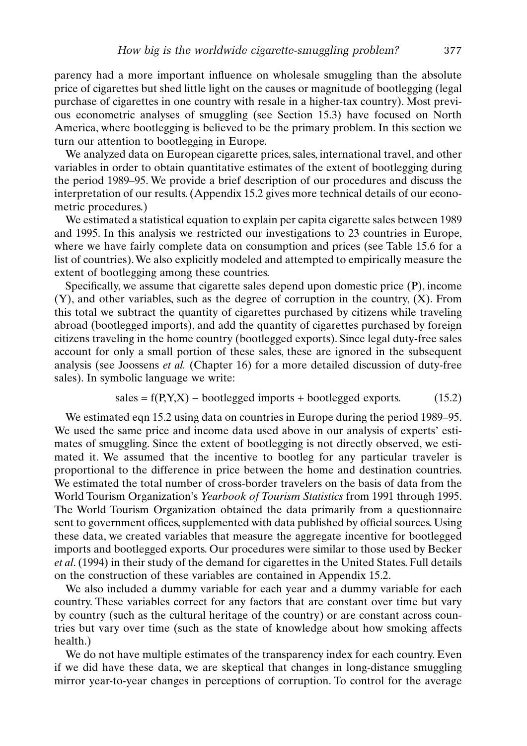parency had a more important influence on wholesale smuggling than the absolute price of cigarettes but shed little light on the causes or magnitude of bootlegging (legal purchase of cigarettes in one country with resale in a higher-tax country). Most previous econometric analyses of smuggling (see Section 15.3) have focused on North America, where bootlegging is believed to be the primary problem. In this section we turn our attention to bootlegging in Europe.

We analyzed data on European cigarette prices, sales, international travel, and other variables in order to obtain quantitative estimates of the extent of bootlegging during the period 1989–95. We provide a brief description of our procedures and discuss the interpretation of our results. (Appendix 15.2 gives more technical details of our econometric procedures.)

We estimated a statistical equation to explain per capita cigarette sales between 1989 and 1995. In this analysis we restricted our investigations to 23 countries in Europe, where we have fairly complete data on consumption and prices (see Table 15.6 for a list of countries).We also explicitly modeled and attempted to empirically measure the extent of bootlegging among these countries.

Specifically, we assume that cigarette sales depend upon domestic price (P), income (Y), and other variables, such as the degree of corruption in the country, (X). From this total we subtract the quantity of cigarettes purchased by citizens while traveling abroad (bootlegged imports), and add the quantity of cigarettes purchased by foreign citizens traveling in the home country (bootlegged exports). Since legal duty-free sales account for only a small portion of these sales, these are ignored in the subsequent analysis (see Joossens *et al.* (Chapter 16) for a more detailed discussion of duty-free sales). In symbolic language we write:

$$
sales = f(P, Y, X) - bootlegged imports + bootlegged exports. \t(15.2)
$$

We estimated eqn 15.2 using data on countries in Europe during the period 1989–95. We used the same price and income data used above in our analysis of experts' estimates of smuggling. Since the extent of bootlegging is not directly observed, we estimated it. We assumed that the incentive to bootleg for any particular traveler is proportional to the difference in price between the home and destination countries. We estimated the total number of cross-border travelers on the basis of data from the World Tourism Organization's *Yearbook of Tourism Statistics* from 1991 through 1995. The World Tourism Organization obtained the data primarily from a questionnaire sent to government offices, supplemented with data published by official sources. Using these data, we created variables that measure the aggregate incentive for bootlegged imports and bootlegged exports. Our procedures were similar to those used by Becker *et al*. (1994) in their study of the demand for cigarettes in the United States. Full details on the construction of these variables are contained in Appendix 15.2.

We also included a dummy variable for each year and a dummy variable for each country. These variables correct for any factors that are constant over time but vary by country (such as the cultural heritage of the country) or are constant across countries but vary over time (such as the state of knowledge about how smoking affects health.)

We do not have multiple estimates of the transparency index for each country. Even if we did have these data, we are skeptical that changes in long-distance smuggling mirror year-to-year changes in perceptions of corruption. To control for the average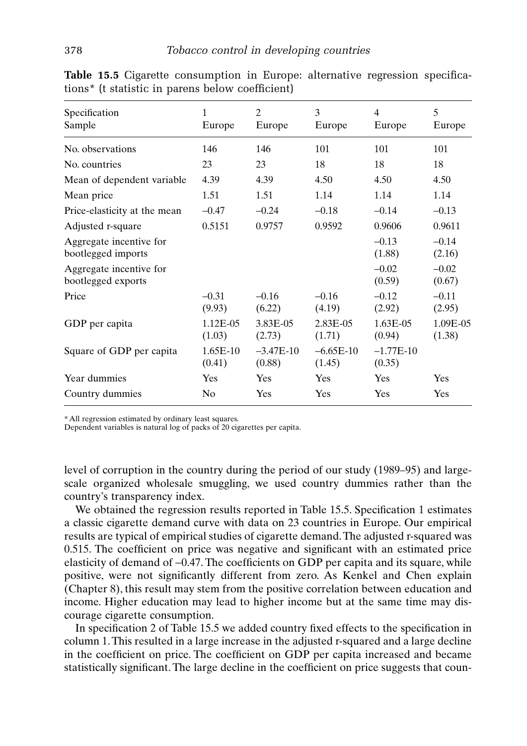| Specification<br>Sample                       | 1<br>Europe        | $\overline{2}$<br>Europe | 3<br>Europe           | $\overline{4}$<br>Europe | 5<br>Europe        |
|-----------------------------------------------|--------------------|--------------------------|-----------------------|--------------------------|--------------------|
| No. observations                              | 146                | 146                      | 101                   | 101                      | 101                |
| No. countries                                 | 23                 | 23                       | 18                    | 18                       | 18                 |
| Mean of dependent variable                    | 4.39               | 4.39                     | 4.50                  | 4.50                     | 4.50               |
| Mean price                                    | 1.51               | 1.51                     | 1.14                  | 1.14                     | 1.14               |
| Price-elasticity at the mean                  | $-0.47$            | $-0.24$                  | $-0.18$               | $-0.14$                  | $-0.13$            |
| Adjusted r-square                             | 0.5151             | 0.9757                   | 0.9592                | 0.9606                   | 0.9611             |
| Aggregate incentive for<br>bootlegged imports |                    |                          |                       | $-0.13$<br>(1.88)        | $-0.14$<br>(2.16)  |
| Aggregate incentive for<br>bootlegged exports |                    |                          |                       | $-0.02$<br>(0.59)        | $-0.02$<br>(0.67)  |
| Price                                         | $-0.31$<br>(9.93)  | $-0.16$<br>(6.22)        | $-0.16$<br>(4.19)     | $-0.12$<br>(2.92)        | $-0.11$<br>(2.95)  |
| GDP per capita                                | 1.12E-05<br>(1.03) | 3.83E-05<br>(2.73)       | 2.83E-05<br>(1.71)    | $1.63E - 05$<br>(0.94)   | 1.09E-05<br>(1.38) |
| Square of GDP per capita                      | 1.65E-10<br>(0.41) | $-3.47E-10$<br>(0.88)    | $-6.65E-10$<br>(1.45) | $-1.77E-10$<br>(0.35)    |                    |
| Year dummies                                  | Yes                | Yes                      | Yes                   | Yes                      | Yes                |
| Country dummies                               | N <sub>o</sub>     | Yes                      | Yes                   | Yes                      | Yes                |

**Table 15.5** Cigarette consumption in Europe: alternative regression specifications\* (t statistic in parens below coefficient)

\* All regression estimated by ordinary least squares.

Dependent variables is natural log of packs of 20 cigarettes per capita.

level of corruption in the country during the period of our study (1989–95) and largescale organized wholesale smuggling, we used country dummies rather than the country's transparency index.

We obtained the regression results reported in Table 15.5. Specification 1 estimates a classic cigarette demand curve with data on 23 countries in Europe. Our empirical results are typical of empirical studies of cigarette demand.The adjusted r-squared was 0.515. The coefficient on price was negative and significant with an estimated price elasticity of demand of  $-0.47$ . The coefficients on GDP per capita and its square, while positive, were not significantly different from zero. As Kenkel and Chen explain (Chapter 8), this result may stem from the positive correlation between education and income. Higher education may lead to higher income but at the same time may discourage cigarette consumption.

In specification 2 of Table 15.5 we added country fixed effects to the specification in column 1. This resulted in a large increase in the adjusted r-squared and a large decline in the coefficient on price. The coefficient on GDP per capita increased and became statistically significant. The large decline in the coefficient on price suggests that coun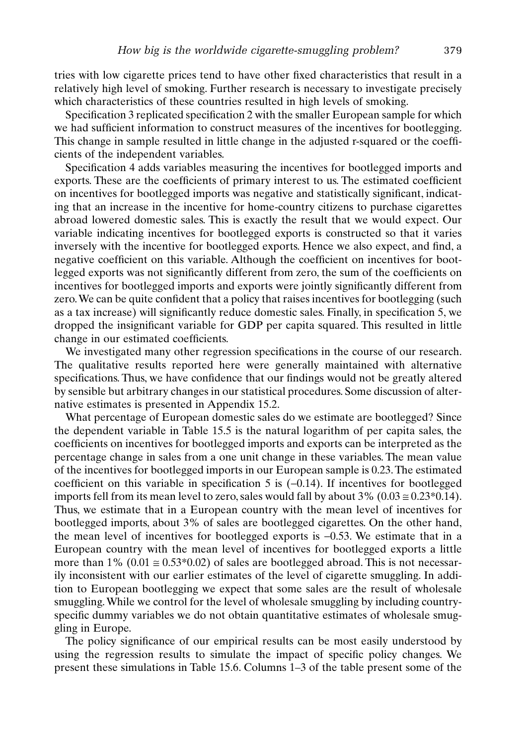tries with low cigarette prices tend to have other fixed characteristics that result in a relatively high level of smoking. Further research is necessary to investigate precisely which characteristics of these countries resulted in high levels of smoking.

Specification 3 replicated specification 2 with the smaller European sample for which we had sufficient information to construct measures of the incentives for bootlegging. This change in sample resulted in little change in the adjusted r-squared or the coefficients of the independent variables.

Specification 4 adds variables measuring the incentives for bootlegged imports and exports. These are the coefficients of primary interest to us. The estimated coefficient on incentives for bootlegged imports was negative and statistically significant, indicating that an increase in the incentive for home-country citizens to purchase cigarettes abroad lowered domestic sales. This is exactly the result that we would expect. Our variable indicating incentives for bootlegged exports is constructed so that it varies inversely with the incentive for bootlegged exports. Hence we also expect, and find, a negative coefficient on this variable. Although the coefficient on incentives for bootlegged exports was not significantly different from zero, the sum of the coefficients on incentives for bootlegged imports and exports were jointly significantly different from zero.We can be quite confident that a policy that raises incentives for bootlegging (such as a tax increase) will significantly reduce domestic sales. Finally, in specification 5, we dropped the insignificant variable for GDP per capita squared. This resulted in little change in our estimated coefficients.

We investigated many other regression specifications in the course of our research. The qualitative results reported here were generally maintained with alternative specifications. Thus, we have confidence that our findings would not be greatly altered by sensible but arbitrary changes in our statistical procedures. Some discussion of alternative estimates is presented in Appendix 15.2.

What percentage of European domestic sales do we estimate are bootlegged? Since the dependent variable in Table 15.5 is the natural logarithm of per capita sales, the coefficients on incentives for bootlegged imports and exports can be interpreted as the percentage change in sales from a one unit change in these variables. The mean value of the incentives for bootlegged imports in our European sample is 0.23.The estimated coefficient on this variable in specification 5 is  $(-0.14)$ . If incentives for bootlegged imports fell from its mean level to zero, sales would fall by about  $3\%$  (0.03  $\approx$  0.23\*0.14). Thus, we estimate that in a European country with the mean level of incentives for bootlegged imports, about 3% of sales are bootlegged cigarettes. On the other hand, the mean level of incentives for bootlegged exports is  $-0.53$ . We estimate that in a European country with the mean level of incentives for bootlegged exports a little more than 1% (0.01  $\approx$  0.53\*0.02) of sales are bootlegged abroad. This is not necessarily inconsistent with our earlier estimates of the level of cigarette smuggling. In addition to European bootlegging we expect that some sales are the result of wholesale smuggling.While we control for the level of wholesale smuggling by including countryspecific dummy variables we do not obtain quantitative estimates of wholesale smuggling in Europe.

The policy significance of our empirical results can be most easily understood by using the regression results to simulate the impact of specific policy changes. We present these simulations in Table 15.6. Columns 1–3 of the table present some of the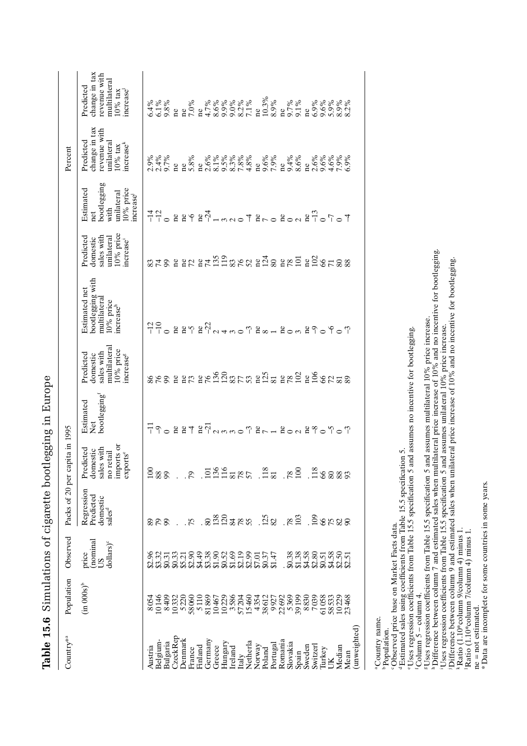| $Country^*$                                                                                       | Population                                            | Observed                                         | Packs of 20 per ca                                        | pita in 1995                                                                      |                                                                                 |                                                                                                                                                                                                                                |                                                                                               |                                                                                         |                                                                                                                                                                                                                                                                                                                                                                                                                        | Percent                                                                                               |                                                                                                   |
|---------------------------------------------------------------------------------------------------|-------------------------------------------------------|--------------------------------------------------|-----------------------------------------------------------|-----------------------------------------------------------------------------------|---------------------------------------------------------------------------------|--------------------------------------------------------------------------------------------------------------------------------------------------------------------------------------------------------------------------------|-----------------------------------------------------------------------------------------------|-----------------------------------------------------------------------------------------|------------------------------------------------------------------------------------------------------------------------------------------------------------------------------------------------------------------------------------------------------------------------------------------------------------------------------------------------------------------------------------------------------------------------|-------------------------------------------------------------------------------------------------------|---------------------------------------------------------------------------------------------------|
|                                                                                                   | $(in 000s)^b$                                         | price<br>(nominal<br>US<br>dollars) <sup>c</sup> | Regression<br>Predicted<br>domestic<br>sales <sup>d</sup> | imports or<br>sales with<br>Predicted<br>domestic<br>no retail<br>$orts^e$<br>exp | bootlegging<br>Estimated<br>Net                                                 | multilatera<br>10% price<br>sales with<br>Predicted<br>increase <sup>g</sup><br>domestic                                                                                                                                       | bootlegging with<br>Estimated net<br>multilatera<br>$10\%$ price<br>increase <sup>h</sup>     | 10% price<br>sales with<br>Predicted<br>unilateral<br>domestic<br>increase <sup>i</sup> | bootlegging<br>10% price<br>Estimated<br>unilateral<br>increase <sup>j</sup><br>with<br>net                                                                                                                                                                                                                                                                                                                            | change in tax<br>revenue with<br>Predicted<br>unilateral<br>$\operatorname{increase}^k$<br>$10\%$ tax | change in tax<br>revenue with<br>multilateral<br>Predicted<br>increase <sup>l</sup><br>$10\%$ tax |
| Belgium<br>Austria                                                                                | 10146<br>8054                                         |                                                  | 888                                                       | $\frac{88}{3}$                                                                    |                                                                                 | 86                                                                                                                                                                                                                             | $173$<br>$-73$<br>$-829$ $-81$<br>$-13$<br>$-13$<br>$-13$<br>$-13$<br>$-13$<br>$-13$<br>$-10$ | 278                                                                                     | $77^\circ - 89^\circ - 87^\circ - 89^\circ - 89^\circ - 89^\circ - 89^\circ - 89^\circ - 89^\circ - 89^\circ - 89^\circ - 89^\circ - 89^\circ - 89^\circ - 89^\circ - 89^\circ - 89^\circ - 89^\circ - 89^\circ - 89^\circ - 89^\circ - 89^\circ - 89^\circ - 89^\circ - 89^\circ - 89^\circ - 89^\circ - 89^\circ - 89^\circ - 89^\circ - 89^\circ - 89^\circ - 89^\circ - 89^\circ - 89^\circ - 89^\circ - 89^\circ$ | 2.9%<br>2.4%<br>9.7%                                                                                  | 6.4%<br>6.1%<br>9.8%                                                                              |
|                                                                                                   | 8409<br>10332                                         |                                                  |                                                           |                                                                                   | $\degree$                                                                       | 99                                                                                                                                                                                                                             |                                                                                               |                                                                                         |                                                                                                                                                                                                                                                                                                                                                                                                                        |                                                                                                       |                                                                                                   |
| Bulgaria<br>CzeckRep                                                                              |                                                       |                                                  |                                                           |                                                                                   | ne                                                                              | ne                                                                                                                                                                                                                             |                                                                                               |                                                                                         |                                                                                                                                                                                                                                                                                                                                                                                                                        | he                                                                                                    | ne                                                                                                |
| Denmark                                                                                           |                                                       |                                                  |                                                           |                                                                                   | $\mathbf{n}$ e                                                                  |                                                                                                                                                                                                                                |                                                                                               |                                                                                         |                                                                                                                                                                                                                                                                                                                                                                                                                        | ne                                                                                                    | ne<br>7.0%                                                                                        |
|                                                                                                   | $\frac{5220}{58060}$                                  |                                                  | $\tilde{z}$                                               | $\mathcal{P}$                                                                     | $\overline{1}$                                                                  |                                                                                                                                                                                                                                |                                                                                               |                                                                                         |                                                                                                                                                                                                                                                                                                                                                                                                                        | 5.8%                                                                                                  |                                                                                                   |
|                                                                                                   |                                                       |                                                  |                                                           |                                                                                   | $\frac{1}{2}$                                                                   |                                                                                                                                                                                                                                |                                                                                               |                                                                                         |                                                                                                                                                                                                                                                                                                                                                                                                                        |                                                                                                       | ne                                                                                                |
| France<br>Finland<br>Germany<br>Greece<br>Hungary<br>Huly<br>Italy<br>Italy<br>Netherla<br>Norway | $8987487878899$ $878888497288899$ $81228888497288899$ |                                                  | .882888                                                   | 13.5885                                                                           |                                                                                 | $25.8$ $25.8$ $25.8$ $25.8$ $25.8$ $25.8$ $25.8$ $25.8$ $25.8$ $25.8$ $25.8$ $25.8$ $25.8$ $25.8$ $25.8$ $25.8$ $25.8$ $25.8$ $25.8$ $25.8$ $25.8$ $25.8$ $25.8$ $25.8$ $25.8$ $25.8$ $25.8$ $25.8$ $25.8$ $25.8$ $25.8$ $25.$ |                                                                                               | $888$<br>$847232888$<br>$242288$<br>$258228$<br>$258228$                                |                                                                                                                                                                                                                                                                                                                                                                                                                        | ne<br>2.6%<br>2.53%<br>2.33%<br>4.8%<br>4.8%                                                          | $4.7%$<br>$6.6%$<br>$6.0%$<br>$6.7%$<br>$6.7%$<br>$6.7%$<br>$6.7%$                                |
|                                                                                                   |                                                       |                                                  |                                                           |                                                                                   |                                                                                 |                                                                                                                                                                                                                                |                                                                                               |                                                                                         |                                                                                                                                                                                                                                                                                                                                                                                                                        |                                                                                                       |                                                                                                   |
|                                                                                                   |                                                       |                                                  |                                                           |                                                                                   |                                                                                 |                                                                                                                                                                                                                                |                                                                                               |                                                                                         |                                                                                                                                                                                                                                                                                                                                                                                                                        |                                                                                                       |                                                                                                   |
|                                                                                                   |                                                       |                                                  |                                                           |                                                                                   |                                                                                 |                                                                                                                                                                                                                                |                                                                                               |                                                                                         |                                                                                                                                                                                                                                                                                                                                                                                                                        |                                                                                                       |                                                                                                   |
|                                                                                                   |                                                       |                                                  |                                                           |                                                                                   |                                                                                 |                                                                                                                                                                                                                                |                                                                                               |                                                                                         |                                                                                                                                                                                                                                                                                                                                                                                                                        |                                                                                                       |                                                                                                   |
|                                                                                                   |                                                       |                                                  |                                                           |                                                                                   |                                                                                 |                                                                                                                                                                                                                                |                                                                                               |                                                                                         |                                                                                                                                                                                                                                                                                                                                                                                                                        |                                                                                                       | ne                                                                                                |
|                                                                                                   |                                                       |                                                  |                                                           | $\frac{18}{51}$                                                                   |                                                                                 |                                                                                                                                                                                                                                |                                                                                               |                                                                                         |                                                                                                                                                                                                                                                                                                                                                                                                                        | ne<br>9.6%<br>7.9%                                                                                    | $\frac{10.3\%}{8.9\%}$                                                                            |
| Romania<br>Portugal                                                                               |                                                       |                                                  |                                                           |                                                                                   |                                                                                 |                                                                                                                                                                                                                                |                                                                                               |                                                                                         |                                                                                                                                                                                                                                                                                                                                                                                                                        |                                                                                                       |                                                                                                   |
| Slovakia                                                                                          |                                                       |                                                  | .28.89                                                    | .87.                                                                              | $\alpha$ mmo <sup>n</sup> dr - don d <sup>n</sup> o <sup>n</sup> o <sup>n</sup> |                                                                                                                                                                                                                                |                                                                                               |                                                                                         |                                                                                                                                                                                                                                                                                                                                                                                                                        | ne                                                                                                    | ne<br>9.7%<br>9.1%                                                                                |
| Spain                                                                                             |                                                       | 388800180013888888888                            |                                                           |                                                                                   |                                                                                 |                                                                                                                                                                                                                                |                                                                                               |                                                                                         |                                                                                                                                                                                                                                                                                                                                                                                                                        | 9.4%<br>8.6%                                                                                          |                                                                                                   |
| Sweden                                                                                            |                                                       |                                                  |                                                           |                                                                                   |                                                                                 |                                                                                                                                                                                                                                |                                                                                               |                                                                                         |                                                                                                                                                                                                                                                                                                                                                                                                                        |                                                                                                       |                                                                                                   |
| Switzer                                                                                           | 8830<br>7039                                          |                                                  | $-58538$                                                  | $. \frac{8}{18}$ 8235.                                                            |                                                                                 |                                                                                                                                                                                                                                |                                                                                               |                                                                                         |                                                                                                                                                                                                                                                                                                                                                                                                                        | ne<br>66%%%%<br>10640%<br>69%                                                                         | 12 % % % % %<br>6.9 % % % % %<br>6.9 % % % % %                                                    |
| Turkey                                                                                            | 61058<br>58533<br>10229<br>23468                      |                                                  |                                                           |                                                                                   |                                                                                 |                                                                                                                                                                                                                                |                                                                                               |                                                                                         |                                                                                                                                                                                                                                                                                                                                                                                                                        |                                                                                                       |                                                                                                   |
| UК                                                                                                |                                                       |                                                  |                                                           |                                                                                   |                                                                                 |                                                                                                                                                                                                                                |                                                                                               |                                                                                         |                                                                                                                                                                                                                                                                                                                                                                                                                        |                                                                                                       |                                                                                                   |
| Median                                                                                            |                                                       |                                                  |                                                           |                                                                                   |                                                                                 |                                                                                                                                                                                                                                |                                                                                               |                                                                                         |                                                                                                                                                                                                                                                                                                                                                                                                                        |                                                                                                       |                                                                                                   |
| Mean                                                                                              |                                                       |                                                  |                                                           |                                                                                   |                                                                                 |                                                                                                                                                                                                                                |                                                                                               |                                                                                         |                                                                                                                                                                                                                                                                                                                                                                                                                        |                                                                                                       |                                                                                                   |
| (unweighted)                                                                                      |                                                       |                                                  |                                                           |                                                                                   |                                                                                 |                                                                                                                                                                                                                                |                                                                                               |                                                                                         |                                                                                                                                                                                                                                                                                                                                                                                                                        |                                                                                                       |                                                                                                   |

Table 15.6 Simulations of cigarette bootlegging in Europe **Table 15.6** Simulations of cigarette bootlegging in Europe

Country name. aCountry name.

Population. bPopulation.

Observed price base on Market Facts data. Observed price base on Market Facts data. dEstimated sales using coefficients from Table 15.5 specification 5.

<sup>4</sup>Estimated sales using coefficients from Table 15.5 specification 5.<br>"Uses regression coefficients from Table 15.5 specification 5 and assumes no incentive for bootlegging. Uses regression coefficients from Table 15.5 specification 5 and assumes no incentive for bootlegging.

 $f$ Column  $\overline{5}$  $^{i}$ Column 5 – column 4. column 4.

 $m =$ 

Uses regression coefficients from Table 15.5 specification 5 and assumes multilateral 10% price increase.

Difference between column 7 and estimated sales when multilateral price increase of 10% and no incentive for bootlegging.

Uses regression coefficients from Table 15.5 specification 5 and assumes unilateral 10% price increase.

j Difference between column 9 and estimated sales when unilateral price increase of 10% and no incentive for bootlegging.  $k$ Ratio (1.10\*column 9/column 4) minus 1.

FRatio (1.10\*column 9/column 4) minus 1.<br>Ratio (1.10\*column 7/column 4) minus 1. lRatio (1.10\*column 7/column 4) minus 1.

ne =not estimated.

\* Data are incomplete for some countries in some years.

\* Data are incomplete for some countries in some years.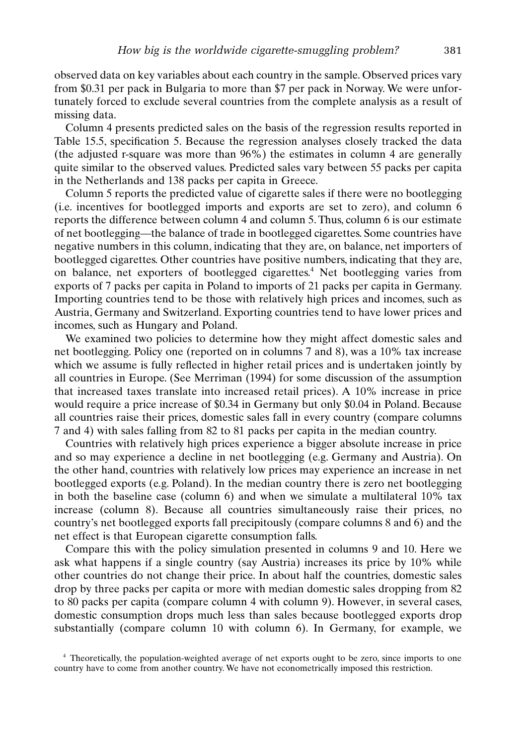observed data on key variables about each country in the sample. Observed prices vary from \$0.31 per pack in Bulgaria to more than \$7 per pack in Norway. We were unfortunately forced to exclude several countries from the complete analysis as a result of missing data.

Column 4 presents predicted sales on the basis of the regression results reported in Table 15.5, specification 5. Because the regression analyses closely tracked the data (the adjusted r-square was more than 96%) the estimates in column 4 are generally quite similar to the observed values. Predicted sales vary between 55 packs per capita in the Netherlands and 138 packs per capita in Greece.

Column 5 reports the predicted value of cigarette sales if there were no bootlegging (i.e. incentives for bootlegged imports and exports are set to zero), and column 6 reports the difference between column 4 and column 5. Thus, column 6 is our estimate of net bootlegging—the balance of trade in bootlegged cigarettes. Some countries have negative numbers in this column, indicating that they are, on balance, net importers of bootlegged cigarettes. Other countries have positive numbers, indicating that they are, on balance, net exporters of bootlegged cigarettes.<sup>4</sup> Net bootlegging varies from exports of 7 packs per capita in Poland to imports of 21 packs per capita in Germany. Importing countries tend to be those with relatively high prices and incomes, such as Austria, Germany and Switzerland. Exporting countries tend to have lower prices and incomes, such as Hungary and Poland.

We examined two policies to determine how they might affect domestic sales and net bootlegging. Policy one (reported on in columns 7 and 8), was a 10% tax increase which we assume is fully reflected in higher retail prices and is undertaken jointly by all countries in Europe. (See Merriman (1994) for some discussion of the assumption that increased taxes translate into increased retail prices). A 10% increase in price would require a price increase of \$0.34 in Germany but only \$0.04 in Poland. Because all countries raise their prices, domestic sales fall in every country (compare columns 7 and 4) with sales falling from 82 to 81 packs per capita in the median country.

Countries with relatively high prices experience a bigger absolute increase in price and so may experience a decline in net bootlegging (e.g. Germany and Austria). On the other hand, countries with relatively low prices may experience an increase in net bootlegged exports (e.g. Poland). In the median country there is zero net bootlegging in both the baseline case (column 6) and when we simulate a multilateral 10% tax increase (column 8). Because all countries simultaneously raise their prices, no country's net bootlegged exports fall precipitously (compare columns 8 and 6) and the net effect is that European cigarette consumption falls.

Compare this with the policy simulation presented in columns 9 and 10. Here we ask what happens if a single country (say Austria) increases its price by 10% while other countries do not change their price. In about half the countries, domestic sales drop by three packs per capita or more with median domestic sales dropping from 82 to 80 packs per capita (compare column 4 with column 9). However, in several cases, domestic consumption drops much less than sales because bootlegged exports drop substantially (compare column 10 with column 6). In Germany, for example, we

<sup>4</sup> Theoretically, the population-weighted average of net exports ought to be zero, since imports to one country have to come from another country. We have not econometrically imposed this restriction.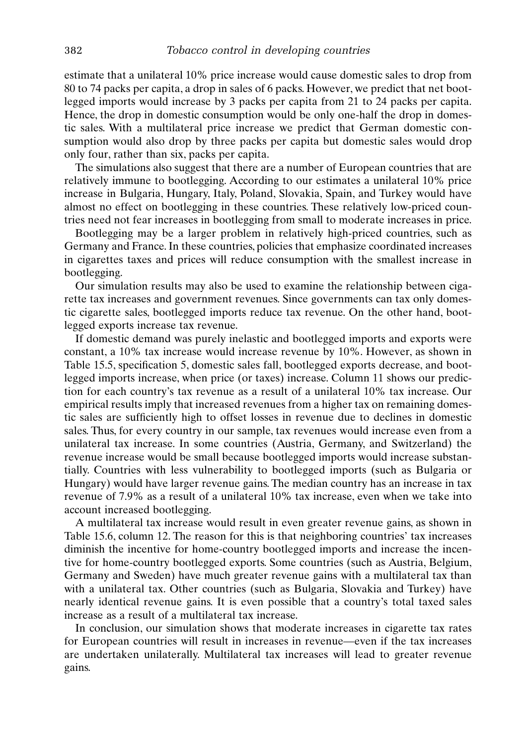estimate that a unilateral 10% price increase would cause domestic sales to drop from 80 to 74 packs per capita, a drop in sales of 6 packs. However, we predict that net bootlegged imports would increase by 3 packs per capita from 21 to 24 packs per capita. Hence, the drop in domestic consumption would be only one-half the drop in domestic sales. With a multilateral price increase we predict that German domestic consumption would also drop by three packs per capita but domestic sales would drop only four, rather than six, packs per capita.

The simulations also suggest that there are a number of European countries that are relatively immune to bootlegging. According to our estimates a unilateral 10% price increase in Bulgaria, Hungary, Italy, Poland, Slovakia, Spain, and Turkey would have almost no effect on bootlegging in these countries. These relatively low-priced countries need not fear increases in bootlegging from small to moderate increases in price.

Bootlegging may be a larger problem in relatively high-priced countries, such as Germany and France. In these countries, policies that emphasize coordinated increases in cigarettes taxes and prices will reduce consumption with the smallest increase in bootlegging.

Our simulation results may also be used to examine the relationship between cigarette tax increases and government revenues. Since governments can tax only domestic cigarette sales, bootlegged imports reduce tax revenue. On the other hand, bootlegged exports increase tax revenue.

If domestic demand was purely inelastic and bootlegged imports and exports were constant, a 10% tax increase would increase revenue by 10%. However, as shown in Table 15.5, specification 5, domestic sales fall, bootlegged exports decrease, and bootlegged imports increase, when price (or taxes) increase. Column 11 shows our prediction for each country's tax revenue as a result of a unilateral 10% tax increase. Our empirical results imply that increased revenues from a higher tax on remaining domestic sales are sufficiently high to offset losses in revenue due to declines in domestic sales. Thus, for every country in our sample, tax revenues would increase even from a unilateral tax increase. In some countries (Austria, Germany, and Switzerland) the revenue increase would be small because bootlegged imports would increase substantially. Countries with less vulnerability to bootlegged imports (such as Bulgaria or Hungary) would have larger revenue gains. The median country has an increase in tax revenue of 7.9% as a result of a unilateral 10% tax increase, even when we take into account increased bootlegging.

A multilateral tax increase would result in even greater revenue gains, as shown in Table 15.6, column 12. The reason for this is that neighboring countries' tax increases diminish the incentive for home-country bootlegged imports and increase the incentive for home-country bootlegged exports. Some countries (such as Austria, Belgium, Germany and Sweden) have much greater revenue gains with a multilateral tax than with a unilateral tax. Other countries (such as Bulgaria, Slovakia and Turkey) have nearly identical revenue gains. It is even possible that a country's total taxed sales increase as a result of a multilateral tax increase.

In conclusion, our simulation shows that moderate increases in cigarette tax rates for European countries will result in increases in revenue—even if the tax increases are undertaken unilaterally. Multilateral tax increases will lead to greater revenue gains.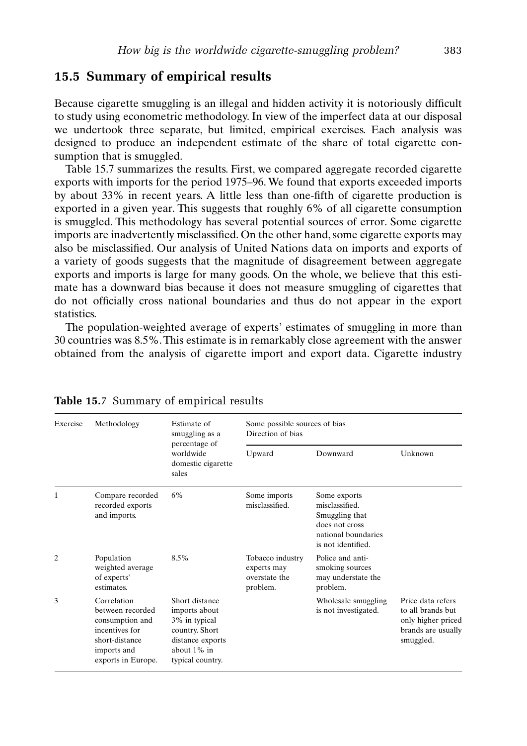# **15.5 Summary of empirical results**

Because cigarette smuggling is an illegal and hidden activity it is notoriously difficult to study using econometric methodology. In view of the imperfect data at our disposal we undertook three separate, but limited, empirical exercises. Each analysis was designed to produce an independent estimate of the share of total cigarette consumption that is smuggled.

Table 15.7 summarizes the results. First, we compared aggregate recorded cigarette exports with imports for the period 1975–96. We found that exports exceeded imports by about 33% in recent years. A little less than one-fifth of cigarette production is exported in a given year. This suggests that roughly 6% of all cigarette consumption is smuggled. This methodology has several potential sources of error. Some cigarette imports are inadvertently misclassified. On the other hand, some cigarette exports may also be misclassified. Our analysis of United Nations data on imports and exports of a variety of goods suggests that the magnitude of disagreement between aggregate exports and imports is large for many goods. On the whole, we believe that this estimate has a downward bias because it does not measure smuggling of cigarettes that do not officially cross national boundaries and thus do not appear in the export statistics.

The population-weighted average of experts' estimates of smuggling in more than 30 countries was 8.5%. This estimate is in remarkably close agreement with the answer obtained from the analysis of cigarette import and export data. Cigarette industry

| Exercise | Methodology                                                                                                                 | Estimate of<br>smuggling as a                                                                                             | Some possible sources of bias<br>Direction of bias           |                                                                                                                 |                                                                                                 |
|----------|-----------------------------------------------------------------------------------------------------------------------------|---------------------------------------------------------------------------------------------------------------------------|--------------------------------------------------------------|-----------------------------------------------------------------------------------------------------------------|-------------------------------------------------------------------------------------------------|
|          |                                                                                                                             | percentage of<br>worldwide<br>domestic cigarette<br>sales                                                                 | Upward                                                       | Downward                                                                                                        | Unknown                                                                                         |
| 1        | Compare recorded<br>recorded exports<br>and imports.                                                                        | 6%                                                                                                                        | Some imports<br>misclassified.                               | Some exports<br>misclassified.<br>Smuggling that<br>does not cross<br>national boundaries<br>is not identified. |                                                                                                 |
| 2        | Population<br>weighted average<br>of experts'<br>estimates.                                                                 | $8.5\%$                                                                                                                   | Tobacco industry<br>experts may<br>overstate the<br>problem. | Police and anti-<br>smoking sources<br>may understate the<br>problem.                                           |                                                                                                 |
| 3        | Correlation<br>between recorded<br>consumption and<br>incentives for<br>short-distance<br>imports and<br>exports in Europe. | Short distance<br>imports about<br>3% in typical<br>country. Short<br>distance exports<br>about 1% in<br>typical country. |                                                              | Wholesale smuggling<br>is not investigated.                                                                     | Price data refers<br>to all brands but<br>only higher priced<br>brands are usually<br>smuggled. |

**Table 15.**7 Summary of empirical results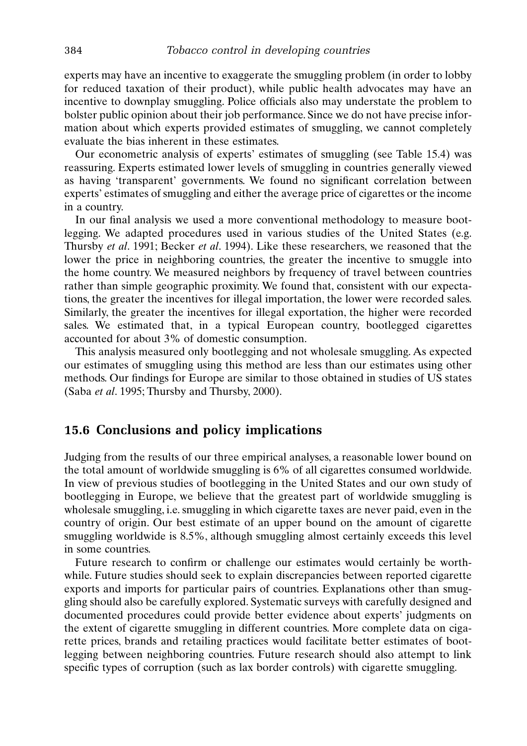experts may have an incentive to exaggerate the smuggling problem (in order to lobby for reduced taxation of their product), while public health advocates may have an incentive to downplay smuggling. Police officials also may understate the problem to bolster public opinion about their job performance. Since we do not have precise information about which experts provided estimates of smuggling, we cannot completely evaluate the bias inherent in these estimates.

Our econometric analysis of experts' estimates of smuggling (see Table 15.4) was reassuring. Experts estimated lower levels of smuggling in countries generally viewed as having 'transparent' governments. We found no significant correlation between experts' estimates of smuggling and either the average price of cigarettes or the income in a country.

In our final analysis we used a more conventional methodology to measure bootlegging. We adapted procedures used in various studies of the United States (e.g. Thursby *et al*. 1991; Becker *et al*. 1994). Like these researchers, we reasoned that the lower the price in neighboring countries, the greater the incentive to smuggle into the home country. We measured neighbors by frequency of travel between countries rather than simple geographic proximity. We found that, consistent with our expectations, the greater the incentives for illegal importation, the lower were recorded sales. Similarly, the greater the incentives for illegal exportation, the higher were recorded sales. We estimated that, in a typical European country, bootlegged cigarettes accounted for about 3% of domestic consumption.

This analysis measured only bootlegging and not wholesale smuggling. As expected our estimates of smuggling using this method are less than our estimates using other methods. Our findings for Europe are similar to those obtained in studies of US states (Saba *et al*. 1995; Thursby and Thursby, 2000).

# **15.6 Conclusions and policy implications**

Judging from the results of our three empirical analyses, a reasonable lower bound on the total amount of worldwide smuggling is 6% of all cigarettes consumed worldwide. In view of previous studies of bootlegging in the United States and our own study of bootlegging in Europe, we believe that the greatest part of worldwide smuggling is wholesale smuggling, i.e. smuggling in which cigarette taxes are never paid, even in the country of origin. Our best estimate of an upper bound on the amount of cigarette smuggling worldwide is 8.5%, although smuggling almost certainly exceeds this level in some countries.

Future research to confirm or challenge our estimates would certainly be worthwhile. Future studies should seek to explain discrepancies between reported cigarette exports and imports for particular pairs of countries. Explanations other than smuggling should also be carefully explored. Systematic surveys with carefully designed and documented procedures could provide better evidence about experts' judgments on the extent of cigarette smuggling in different countries. More complete data on cigarette prices, brands and retailing practices would facilitate better estimates of bootlegging between neighboring countries. Future research should also attempt to link specific types of corruption (such as lax border controls) with cigarette smuggling.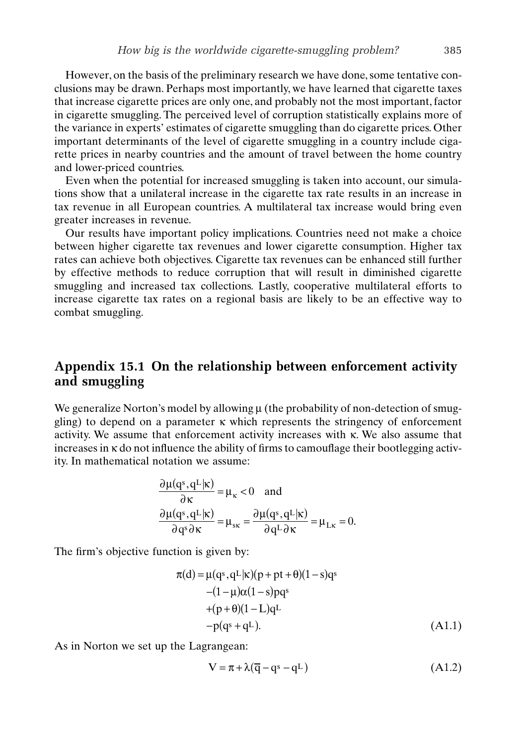However, on the basis of the preliminary research we have done, some tentative conclusions may be drawn. Perhaps most importantly, we have learned that cigarette taxes that increase cigarette prices are only one, and probably not the most important, factor in cigarette smuggling. The perceived level of corruption statistically explains more of the variance in experts' estimates of cigarette smuggling than do cigarette prices. Other important determinants of the level of cigarette smuggling in a country include cigarette prices in nearby countries and the amount of travel between the home country and lower-priced countries.

Even when the potential for increased smuggling is taken into account, our simulations show that a unilateral increase in the cigarette tax rate results in an increase in tax revenue in all European countries. A multilateral tax increase would bring even greater increases in revenue.

Our results have important policy implications. Countries need not make a choice between higher cigarette tax revenues and lower cigarette consumption. Higher tax rates can achieve both objectives. Cigarette tax revenues can be enhanced still further by effective methods to reduce corruption that will result in diminished cigarette smuggling and increased tax collections. Lastly, cooperative multilateral efforts to increase cigarette tax rates on a regional basis are likely to be an effective way to combat smuggling.

# **Appendix 15.1 On the relationship between enforcement activity and smuggling**

We generalize Norton's model by allowing  $\mu$  (the probability of non-detection of smuggling) to depend on a parameter  $\kappa$  which represents the stringency of enforcement activity. We assume that enforcement activity increases with  $\kappa$ . We also assume that increases in k do not influence the ability of firms to camouflage their bootlegging activity. In mathematical notation we assume:

$$
\frac{\partial \mu(q^s, q^L|\kappa)}{\partial \kappa} = \mu_{\kappa} < 0 \quad \text{and}
$$
\n
$$
\frac{\partial \mu(q^s, q^L|\kappa)}{\partial q^s \partial \kappa} = \mu_{\kappa \kappa} = \frac{\partial \mu(q^s, q^L|\kappa)}{\partial q^L \partial \kappa} = \mu_{L\kappa} = 0.
$$

The firm's objective function is given by:

$$
\pi(d) = \mu(q^s, q^L|\kappa)(p + pt + \theta)(1 - s)q^s
$$
  
-(1 -  $\mu$ ) $\alpha$ (1 - s)pq^s  
+(p +  $\theta$ )(1 - L)q<sup>L</sup>  
-p(q<sup>s</sup> + q<sup>L</sup>). (A1.1)

As in Norton we set up the Lagrangean:

$$
V = \pi + \lambda(\overline{q} - q^s - q^L) \tag{A1.2}
$$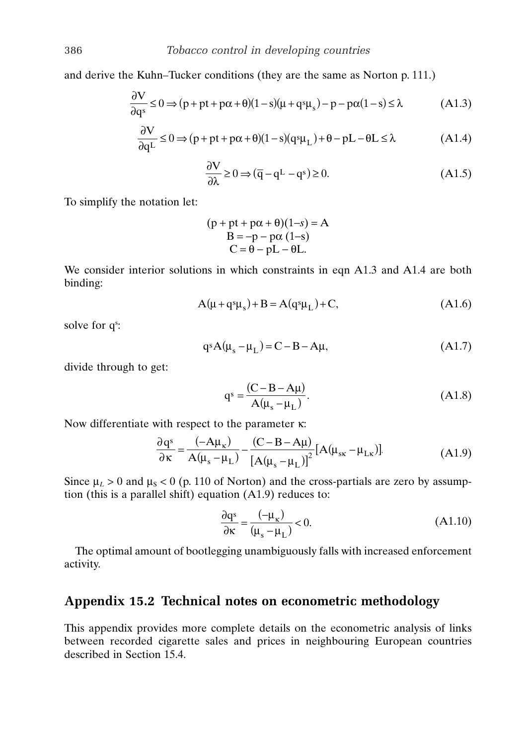and derive the Kuhn–Tucker conditions (they are the same as Norton p. 111.)

$$
\frac{\partial V}{\partial q^s} \le 0 \Rightarrow (p + pt + p\alpha + \theta)(1 - s)(\mu + q^s\mu_s) - p - p\alpha(1 - s) \le \lambda \tag{A1.3}
$$

$$
\frac{\partial V}{\partial q^L} \le 0 \Rightarrow (p + pt + p\alpha + \theta)(1 - s)(q^s \mu_L) + \theta - pL - \theta L \le \lambda \tag{A1.4}
$$

$$
\frac{\partial V}{\partial \lambda} \ge 0 \Rightarrow (\overline{q} - q^L - q^s) \ge 0. \tag{A1.5}
$$

To simplify the notation let:

$$
(p + pt + p\alpha + \theta)(1-s) = A
$$
  
\n
$$
B = -p - p\alpha (1-s)
$$
  
\n
$$
C = \theta - pL - \theta L.
$$

We consider interior solutions in which constraints in eqn A1.3 and A1.4 are both binding:

$$
A(\mu + q^s \mu_s) + B = A(q^s \mu_L) + C,\tag{A1.6}
$$

solve for  $q^s$ :

$$
q^s A(\mu_s - \mu_L) = C - B - A\mu,\tag{A1.7}
$$

divide through to get:

$$
qs = \frac{(C - B - A\mu)}{A(\mu_s - \mu_L)}.
$$
\n(A1.8)

Now differentiate with respect to the parameter  $\kappa$ :

$$
\frac{\partial q^s}{\partial \kappa} = \frac{(-A\mu_\kappa)}{A(\mu_s - \mu_L)} - \frac{(C - B - A\mu)}{[A(\mu_s - \mu_L)]^2} [A(\mu_{s\kappa} - \mu_{L\kappa})]
$$
(A1.9)

Since  $\mu$ <sub>L</sub> > 0 and  $\mu$ <sub>S</sub> < 0 (p. 110 of Norton) and the cross-partials are zero by assumption (this is a parallel shift) equation  $(A1.9)$  reduces to:

$$
\frac{\partial q^s}{\partial \kappa} = \frac{(-\mu_\kappa)}{(\mu_s - \mu_L)} < 0. \tag{A1.10}
$$

The optimal amount of bootlegging unambiguously falls with increased enforcement activity.

## **Appendix 15.2 Technical notes on econometric methodology**

This appendix provides more complete details on the econometric analysis of links between recorded cigarette sales and prices in neighbouring European countries described in Section 15.4.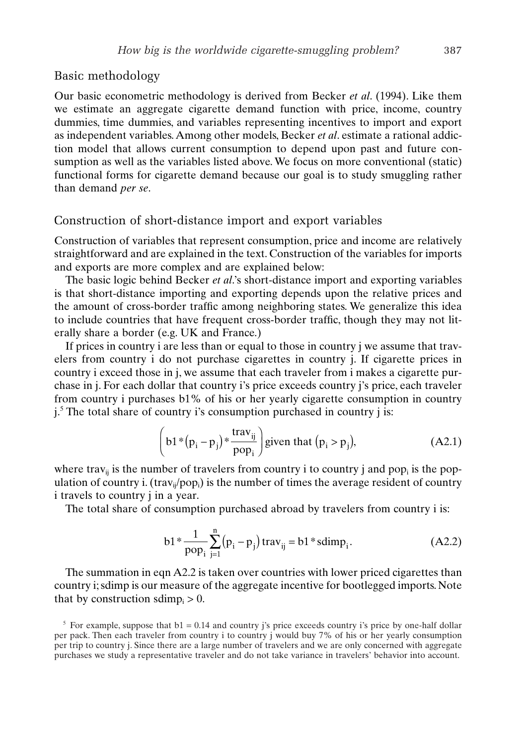#### Basic methodology

Our basic econometric methodology is derived from Becker *et al*. (1994). Like them we estimate an aggregate cigarette demand function with price, income, country dummies, time dummies, and variables representing incentives to import and export as independent variables. Among other models, Becker *et al*. estimate a rational addiction model that allows current consumption to depend upon past and future consumption as well as the variables listed above. We focus on more conventional (static) functional forms for cigarette demand because our goal is to study smuggling rather than demand *per se*.

#### Construction of short-distance import and export variables

Construction of variables that represent consumption, price and income are relatively straightforward and are explained in the text. Construction of the variables for imports and exports are more complex and are explained below:

The basic logic behind Becker *et al*.'s short-distance import and exporting variables is that short-distance importing and exporting depends upon the relative prices and the amount of cross-border traffic among neighboring states. We generalize this idea to include countries that have frequent cross-border traffic, though they may not literally share a border (e.g. UK and France.)

If prices in country i are less than or equal to those in country j we assume that travelers from country i do not purchase cigarettes in country j. If cigarette prices in country i exceed those in j, we assume that each traveler from i makes a cigarette purchase in j. For each dollar that country i's price exceeds country j's price, each traveler from country i purchases b1% of his or her yearly cigarette consumption in country j.5 The total share of country i's consumption purchased in country j is:

$$
\left(b1*(p_i - p_j)*\frac{trav_{ij}}{pop_i}\right) \text{given that } (p_i > p_j),\tag{A2.1}
$$

where trav<sub>ii</sub> is the number of travelers from country i to country j and pop<sub>i</sub> is the population of country i. (trav<sub>ii</sub>/pop<sub>i</sub>) is the number of times the average resident of country i travels to country *i* in a year.

The total share of consumption purchased abroad by travelers from country i is:

$$
b1 * \frac{1}{pop_i} \sum_{j=1}^{n} (p_i - p_j) \text{trav}_{ij} = b1 * \text{sdimp}_i.
$$
 (A2.2)

The summation in eqn A2.2 is taken over countries with lower priced cigarettes than country i; sdimp is our measure of the aggregate incentive for bootlegged imports. Note that by construction sdimp<sub>i</sub>  $> 0$ .

<sup>&</sup>lt;sup>5</sup> For example, suppose that  $b1 = 0.14$  and country j's price exceeds country i's price by one-half dollar per pack. Then each traveler from country i to country j would buy 7% of his or her yearly consumption per trip to country j. Since there are a large number of travelers and we are only concerned with aggregate purchases we study a representative traveler and do not take variance in travelers' behavior into account.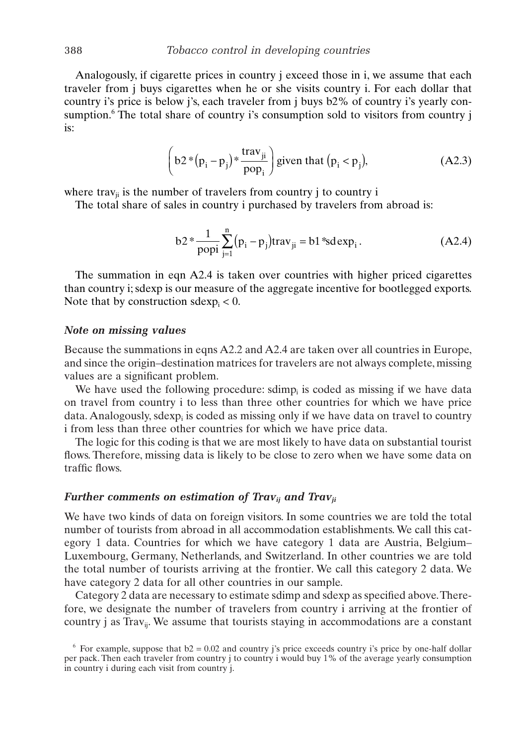Analogously, if cigarette prices in country j exceed those in i, we assume that each traveler from j buys cigarettes when he or she visits country i. For each dollar that country i's price is below j's, each traveler from j buys b2% of country i's yearly consumption.<sup>6</sup> The total share of country i's consumption sold to visitors from country j is:

$$
\left(\mathbf{b2}^*\left(\mathbf{p}_i - \mathbf{p}_j\right)^*\frac{\mathbf{trav}_{ji}}{\mathbf{pop}_i}\right) \text{given that } (\mathbf{p}_i < \mathbf{p}_j),\tag{A2.3}
$$

where trav<sub>ii</sub> is the number of travelers from country j to country i

The total share of sales in country i purchased by travelers from abroad is:

$$
b2 * \frac{1}{popi} \sum_{j=1}^{n} (p_i - p_j) \text{trav}_{ji} = b1 * \text{sdexp}_i. \tag{A2.4}
$$

The summation in eqn A2.4 is taken over countries with higher priced cigarettes than country i; sdexp is our measure of the aggregate incentive for bootlegged exports. Note that by construction sdexp<sub>i</sub>  $< 0$ .

#### *Note on missing values*

Because the summations in eqns A2.2 and A2.4 are taken over all countries in Europe, and since the origin–destination matrices for travelers are not always complete, missing values are a significant problem.

We have used the following procedure: sdimp<sub>i</sub> is coded as missing if we have data on travel from country i to less than three other countries for which we have price data. Analogously,  $s \cdot \text{dexp}_i$  is coded as missing only if we have data on travel to country i from less than three other countries for which we have price data.

The logic for this coding is that we are most likely to have data on substantial tourist flows. Therefore, missing data is likely to be close to zero when we have some data on traffic flows.

#### *Further comments on estimation of Trav<sub>ii</sub> and Trav<sub>ii</sub>*

We have two kinds of data on foreign visitors. In some countries we are told the total number of tourists from abroad in all accommodation establishments. We call this category 1 data. Countries for which we have category 1 data are Austria, Belgium– Luxembourg, Germany, Netherlands, and Switzerland. In other countries we are told the total number of tourists arriving at the frontier. We call this category 2 data. We have category 2 data for all other countries in our sample.

Category 2 data are necessary to estimate sdimp and sdexp as specified above.Therefore, we designate the number of travelers from country i arriving at the frontier of country j as Trav<sub>ii</sub>. We assume that tourists staying in accommodations are a constant

 $6$  For example, suppose that  $b2 = 0.02$  and country j's price exceeds country i's price by one-half dollar per pack. Then each traveler from country j to country i would buy 1% of the average yearly consumption in country i during each visit from country j.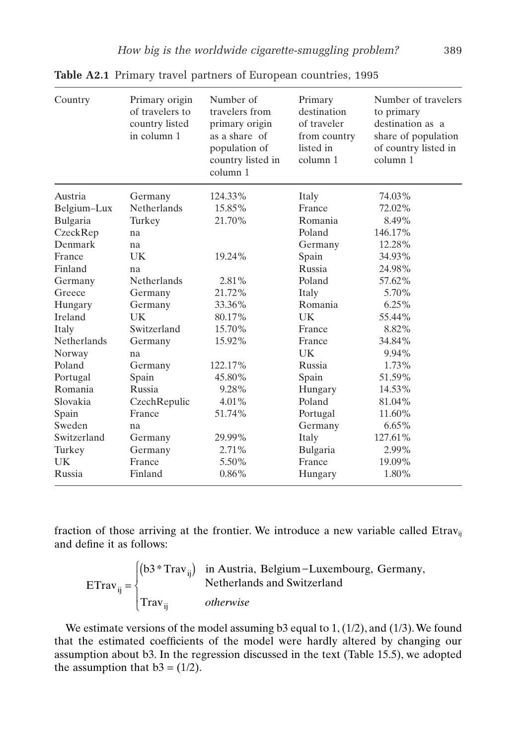| Country     | Primary origin<br>of travelers to<br>country listed<br>in column 1 | Number of<br>travelers from<br>primary origin<br>as a share of<br>population of<br>country listed in<br>column 1 | Primary<br>destination<br>of traveler<br>from country<br>listed in<br>column 1 | Number of travelers<br>to primary<br>destination as a<br>share of population<br>of country listed in<br>column 1 |
|-------------|--------------------------------------------------------------------|------------------------------------------------------------------------------------------------------------------|--------------------------------------------------------------------------------|------------------------------------------------------------------------------------------------------------------|
| Austria     | Germany                                                            | 124.33%                                                                                                          | Italy                                                                          | 74.03%                                                                                                           |
| Belgium-Lux | Netherlands                                                        | 15.85%                                                                                                           | France                                                                         | 72.02%                                                                                                           |
| Bulgaria    | Turkey                                                             | 21.70%                                                                                                           | Romania                                                                        | 8.49%                                                                                                            |
| CzeckRep    | na                                                                 |                                                                                                                  | Poland                                                                         | 146.17%                                                                                                          |
| Denmark     | na                                                                 |                                                                                                                  | Germany                                                                        | 12.28%                                                                                                           |
| France      | <b>UK</b>                                                          | 19.24%                                                                                                           | Spain                                                                          | 34.93%                                                                                                           |
| Finland     | na                                                                 |                                                                                                                  | Russia                                                                         | 24.98%                                                                                                           |
| Germany     | Netherlands                                                        | 2.81%                                                                                                            | Poland                                                                         | 57.62%                                                                                                           |
| Greece      | Germany                                                            | 21.72%                                                                                                           | Italy                                                                          | 5.70%                                                                                                            |
| Hungary     | Germany                                                            | 33.36%                                                                                                           | Romania                                                                        | 6.25%                                                                                                            |
| Ireland     | <b>UK</b>                                                          | 80.17%                                                                                                           | <b>UK</b>                                                                      | 55.44%                                                                                                           |
| Italy       | Switzerland                                                        | 15.70%                                                                                                           | France                                                                         | 8.82%                                                                                                            |
| Netherlands | Germany                                                            | 15.92%                                                                                                           | France                                                                         | 34.84%                                                                                                           |
| Norway      | na                                                                 |                                                                                                                  | <b>UK</b>                                                                      | 9.94%                                                                                                            |
| Poland      | Germany                                                            | 122.17%                                                                                                          | Russia                                                                         | 1.73%                                                                                                            |
| Portugal    | Spain                                                              | 45.80%                                                                                                           | Spain                                                                          | 51.59%                                                                                                           |
| Romania     | Russia                                                             | 9.28%                                                                                                            | Hungary                                                                        | 14.53%                                                                                                           |
| Slovakia    | CzechRepulic                                                       | 4.01%                                                                                                            | Poland                                                                         | 81.04%                                                                                                           |
| Spain       | France                                                             | 51.74%                                                                                                           | Portugal                                                                       | 11.60%                                                                                                           |
| Sweden      | na                                                                 |                                                                                                                  | Germany                                                                        | 6.65%                                                                                                            |
| Switzerland | Germany                                                            | 29.99%                                                                                                           | Italy                                                                          | 127.61%                                                                                                          |
| Turkey      | Germany                                                            | 2.71%                                                                                                            | Bulgaria                                                                       | 2.99%                                                                                                            |
| <b>UK</b>   | France                                                             | 5.50%                                                                                                            | France                                                                         | 19.09%                                                                                                           |
| Russia      | Finland                                                            | 0.86%                                                                                                            | Hungary                                                                        | 1.80%                                                                                                            |

**Table A2.1** Primary travel partners of European countries, 1995

fraction of those arriving at the frontier. We introduce a new variable called Etrav<sub>ii</sub> and define it as follows:

ETrav<sub>ij</sub> = 
$$
\begin{cases} (b3 * Trav_{ij}) & \text{in Austria, Belgium-Luxembourg, Germany,} \\ \text{Trav}_{ij} & \text{otherwise} \end{cases}
$$

We estimate versions of the model assuming  $b3$  equal to 1,  $(1/2)$ , and  $(1/3)$ . We found that the estimated coefficients of the model were hardly altered by changing our assumption about b3. In the regression discussed in the text (Table 15.5), we adopted the assumption that  $b3 = (1/2)$ .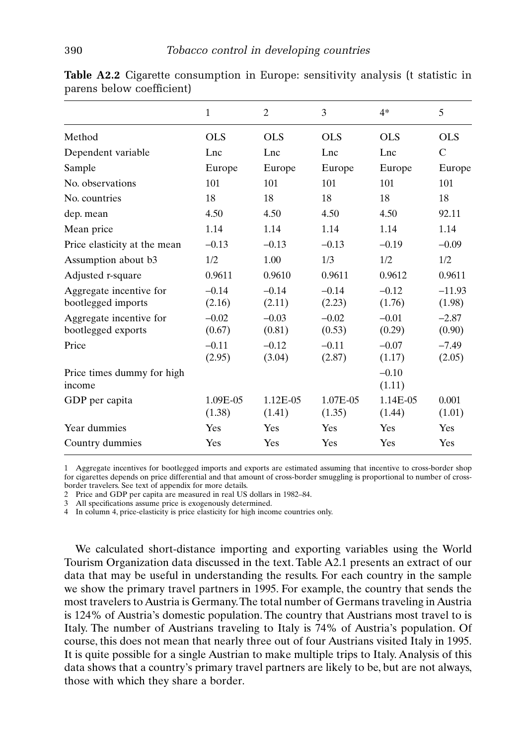|                                               | 1                  | $\overline{2}$       | 3                  | $4*$               | 5                  |
|-----------------------------------------------|--------------------|----------------------|--------------------|--------------------|--------------------|
| Method                                        | <b>OLS</b>         | <b>OLS</b>           | <b>OLS</b>         | <b>OLS</b>         | <b>OLS</b>         |
| Dependent variable                            | Lnc                | Lnc                  | Lnc                | Lnc                | $\mathcal{C}$      |
| Sample                                        | Europe             | Europe               | Europe             | Europe             | Europe             |
| No. observations                              | 101                | 101                  | 101                | 101                | 101                |
| No. countries                                 | 18                 | 18                   | 18                 | 18                 | 18                 |
| dep. mean                                     | 4.50               | 4.50                 | 4.50               | 4.50               | 92.11              |
| Mean price                                    | 1.14               | 1.14                 | 1.14               | 1.14               | 1.14               |
| Price elasticity at the mean                  | $-0.13$            | $-0.13$              | $-0.13$            | $-0.19$            | $-0.09$            |
| Assumption about b3                           | 1/2                | 1.00                 | 1/3                | 1/2                | 1/2                |
| Adjusted r-square                             | 0.9611             | 0.9610               | 0.9611             | 0.9612             | 0.9611             |
| Aggregate incentive for<br>bootlegged imports | $-0.14$<br>(2.16)  | $-0.14$<br>(2.11)    | $-0.14$<br>(2.23)  | $-0.12$<br>(1.76)  | $-11.93$<br>(1.98) |
| Aggregate incentive for<br>bootlegged exports | $-0.02$<br>(0.67)  | $-0.03$<br>(0.81)    | $-0.02$<br>(0.53)  | $-0.01$<br>(0.29)  | $-2.87$<br>(0.90)  |
| Price                                         | $-0.11$<br>(2.95)  | $-0.12$<br>(3.04)    | $-0.11$<br>(2.87)  | $-0.07$<br>(1.17)  | $-7.49$<br>(2.05)  |
| Price times dummy for high<br>income          |                    |                      |                    | $-0.10$<br>(1.11)  |                    |
| GDP per capita                                | 1.09E-05<br>(1.38) | $1.12E-05$<br>(1.41) | 1.07E-05<br>(1.35) | 1.14E-05<br>(1.44) | 0.001<br>(1.01)    |
| Year dummies                                  | Yes                | Yes                  | Yes                | Yes                | Yes                |
| Country dummies                               | Yes                | Yes                  | Yes                | Yes                | Yes                |

**Table A2.2** Cigarette consumption in Europe: sensitivity analysis (t statistic in parens below coefficient)

1 Aggregate incentives for bootlegged imports and exports are estimated assuming that incentive to cross-border shop for cigarettes depends on price differential and that amount of cross-border smuggling is proportional to number of crossborder travelers. See text of appendix for more details.

2 Price and GDP per capita are measured in real US dollars in 1982–84.

3 All specifications assume price is exogenously determined.

4 In column 4, price-elasticity is price elasticity for high income countries only.

We calculated short-distance importing and exporting variables using the World Tourism Organization data discussed in the text. Table A2.1 presents an extract of our data that may be useful in understanding the results. For each country in the sample we show the primary travel partners in 1995. For example, the country that sends the most travelers to Austria is Germany.The total number of Germans traveling in Austria is 124% of Austria's domestic population. The country that Austrians most travel to is Italy. The number of Austrians traveling to Italy is 74% of Austria's population. Of course, this does not mean that nearly three out of four Austrians visited Italy in 1995. It is quite possible for a single Austrian to make multiple trips to Italy. Analysis of this data shows that a country's primary travel partners are likely to be, but are not always, those with which they share a border.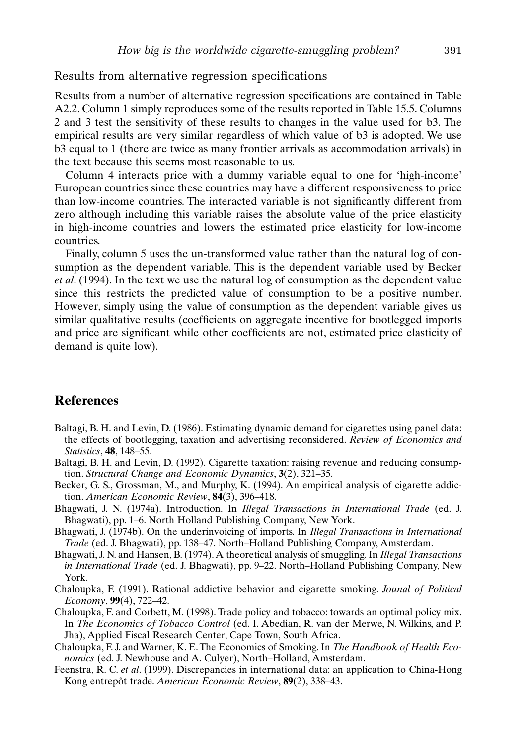#### Results from alternative regression specifications

Results from a number of alternative regression specifications are contained in Table A2.2. Column 1 simply reproduces some of the results reported in Table 15.5. Columns 2 and 3 test the sensitivity of these results to changes in the value used for b3. The empirical results are very similar regardless of which value of b3 is adopted. We use b3 equal to 1 (there are twice as many frontier arrivals as accommodation arrivals) in the text because this seems most reasonable to us.

Column 4 interacts price with a dummy variable equal to one for 'high-income' European countries since these countries may have a different responsiveness to price than low-income countries. The interacted variable is not significantly different from zero although including this variable raises the absolute value of the price elasticity in high-income countries and lowers the estimated price elasticity for low-income countries.

Finally, column 5 uses the un-transformed value rather than the natural log of consumption as the dependent variable. This is the dependent variable used by Becker *et al*. (1994). In the text we use the natural log of consumption as the dependent value since this restricts the predicted value of consumption to be a positive number. However, simply using the value of consumption as the dependent variable gives us similar qualitative results (coefficients on aggregate incentive for bootlegged imports and price are significant while other coefficients are not, estimated price elasticity of demand is quite low).

#### **References**

- Baltagi, B. H. and Levin, D. (1986). Estimating dynamic demand for cigarettes using panel data: the effects of bootlegging, taxation and advertising reconsidered. *Review of Economics and Statistics*, **48**, 148–55.
- Baltagi, B. H. and Levin, D. (1992). Cigarette taxation: raising revenue and reducing consumption. *Structural Change and Economic Dynamics*, **3**(2), 321–35.
- Becker, G. S., Grossman, M., and Murphy, K. (1994). An empirical analysis of cigarette addiction. *American Economic Review*, **84**(3), 396–418.
- Bhagwati, J. N. (1974a). Introduction. In *Illegal Transactions in International Trade* (ed. J. Bhagwati), pp. 1–6. North Holland Publishing Company, New York.
- Bhagwati, J. (1974b). On the underinvoicing of imports. In *Illegal Transactions in International Trade* (ed. J. Bhagwati), pp. 138–47. North–Holland Publishing Company, Amsterdam.
- Bhagwati, J. N. and Hansen, B. (1974). A theoretical analysis of smuggling. In *Illegal Transactions in International Trade* (ed. J. Bhagwati), pp. 9–22. North–Holland Publishing Company, New York.
- Chaloupka, F. (1991). Rational addictive behavior and cigarette smoking. *Jounal of Political Economy*, **99**(4), 722–42.
- Chaloupka, F. and Corbett, M. (1998). Trade policy and tobacco: towards an optimal policy mix. In *The Economics of Tobacco Control* (ed. I. Abedian, R. van der Merwe, N. Wilkins, and P. Jha), Applied Fiscal Research Center, Cape Town, South Africa.
- Chaloupka, F. J. and Warner, K. E. The Economics of Smoking. In *The Handbook of Health Economics* (ed. J. Newhouse and A. Culyer), North–Holland, Amsterdam.
- Feenstra, R. C. *et al*. (1999). Discrepancies in international data: an application to China-Hong Kong entrepôt trade. *American Economic Review*, **89**(2), 338–43.